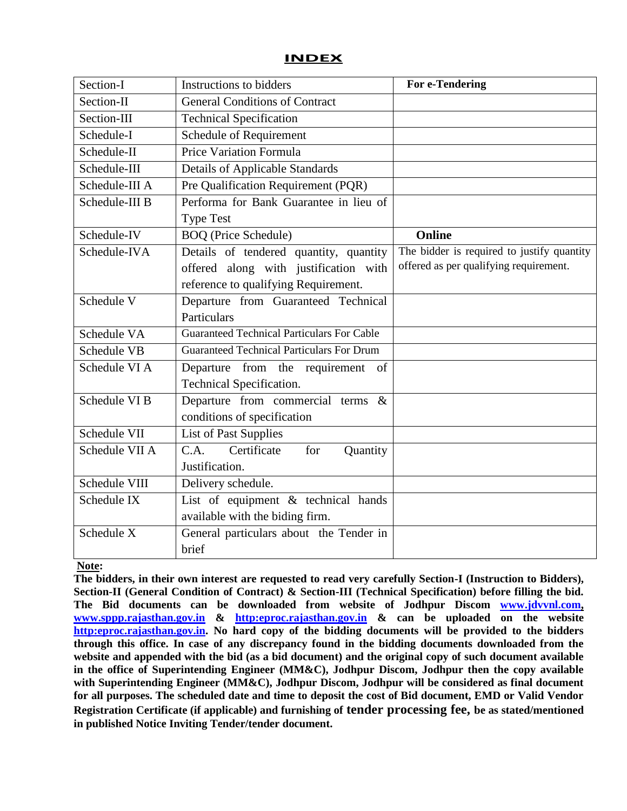#### **INDEX**

| Section-I      | Instructions to bidders                           | For e-Tendering                            |
|----------------|---------------------------------------------------|--------------------------------------------|
| Section-II     | <b>General Conditions of Contract</b>             |                                            |
| Section-III    | <b>Technical Specification</b>                    |                                            |
| Schedule-I     | Schedule of Requirement                           |                                            |
| Schedule-II    | Price Variation Formula                           |                                            |
| Schedule-III   | <b>Details of Applicable Standards</b>            |                                            |
| Schedule-III A | Pre Qualification Requirement (PQR)               |                                            |
| Schedule-III B | Performa for Bank Guarantee in lieu of            |                                            |
|                | <b>Type Test</b>                                  |                                            |
| Schedule-IV    | <b>BOQ</b> (Price Schedule)                       | <b>Online</b>                              |
| Schedule-IVA   | Details of tendered quantity, quantity            | The bidder is required to justify quantity |
|                | offered along with justification with             | offered as per qualifying requirement.     |
|                | reference to qualifying Requirement.              |                                            |
| Schedule V     | Departure from Guaranteed Technical               |                                            |
|                | Particulars                                       |                                            |
| Schedule VA    | <b>Guaranteed Technical Particulars For Cable</b> |                                            |
| Schedule VB    | <b>Guaranteed Technical Particulars For Drum</b>  |                                            |
| Schedule VI A  | Departure from the requirement of                 |                                            |
|                | Technical Specification.                          |                                            |
| Schedule VI B  | Departure from commercial terms $\&$              |                                            |
|                | conditions of specification                       |                                            |
| Schedule VII   | <b>List of Past Supplies</b>                      |                                            |
| Schedule VII A | C.A.<br>Certificate<br>for<br>Quantity            |                                            |
|                | Justification.                                    |                                            |
| Schedule VIII  | Delivery schedule.                                |                                            |
| Schedule IX    | List of equipment & technical hands               |                                            |
|                | available with the biding firm.                   |                                            |
| Schedule X     | General particulars about the Tender in           |                                            |
|                | brief                                             |                                            |

#### **Note:**

**The bidders, in their own interest are requested to read very carefully Section-I (Instruction to Bidders), Section-II (General Condition of Contract) & Section-III (Technical Specification) before filling the bid. The Bid documents can be downloaded from website of Jodhpur Discom [www.jdvvnl.com,](http://www.jdvvnl.com/) [www.sppp.rajasthan.gov.in](http://www.sppp.raj.nic.in/) & [http:eproc.rajasthan.gov.in](Specs%20Section-III%20.doc) & can be uploaded on the website [http:eproc.rajasthan.gov.in.](file:\\192.168.16.65\sk%20bhati%20sir\d\S%20K%20Bhati%20c%20drive\ss\SKB\Bhati-08\TN-937%20Onwards%20(2013-14)\TN-943%2033%20KV%20Pin%20Insulator\Specs%20Section-III%20.doc) No hard copy of the bidding documents will be provided to the bidders through this office. In case of any discrepancy found in the bidding documents downloaded from the website and appended with the bid (as a bid document) and the original copy of such document available in the office of Superintending Engineer (MM&C), Jodhpur Discom, Jodhpur then the copy available**  with Superintending Engineer (MM&C), Jodhpur Discom, Jodhpur will be considered as final document **for all purposes. The scheduled date and time to deposit the cost of Bid document, EMD or Valid Vendor Registration Certificate (if applicable) and furnishing of tender processing fee, be as stated/mentioned in published Notice Inviting Tender/tender document.**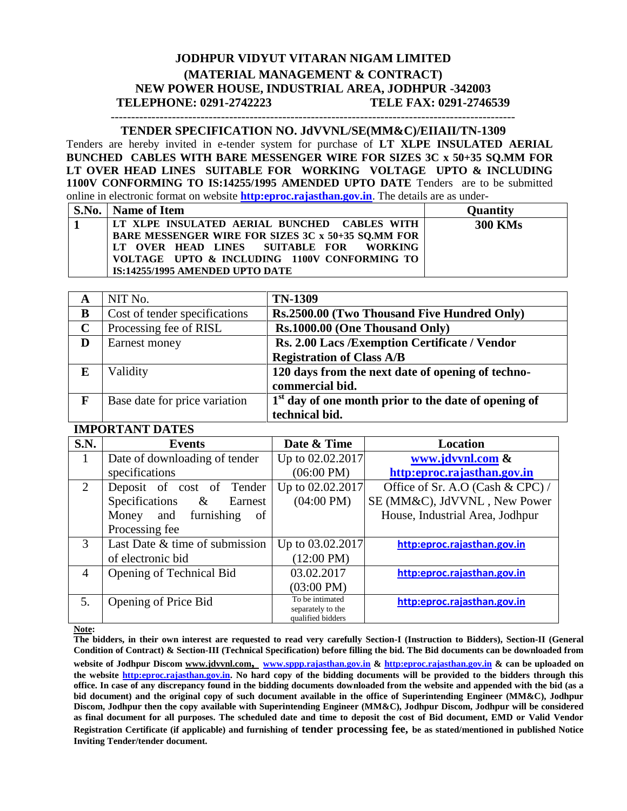#### **JODHPUR VIDYUT VITARAN NIGAM LIMITED (MATERIAL MANAGEMENT & CONTRACT) NEW POWER HOUSE, INDUSTRIAL AREA, JODHPUR -342003 TELEPHONE: 0291-2742223 TELE FAX: 0291-2746539**

#### **TENDER SPECIFICATION NO. JdVVNL/SE(MM&C)/EIIAII/TN-1309**

---------------------------------------------------------------------------------------------------

Tenders are hereby invited in e-tender system for purchase of **LT XLPE INSULATED AERIAL BUNCHED CABLES WITH BARE MESSENGER WIRE FOR SIZES 3C x 50+35 SQ.MM FOR LT OVER HEAD LINES SUITABLE FOR WORKING VOLTAGE UPTO & INCLUDING 1100V CONFORMING TO IS:14255/1995 AMENDED UPTO DATE** Tenders are to be submitted online in electronic format on website **[http:eproc.rajasthan.gov.in](http://www.eproc.rajasthan.gov.in/nicgep/app)**. The details are as under-

| S.No.   Name of Item                               | <b>Quantity</b> |
|----------------------------------------------------|-----------------|
| LT XLPE INSULATED AERIAL BUNCHED CABLES WITH       | <b>300 KMs</b>  |
| BARE MESSENGER WIRE FOR SIZES 3C x 50+35 SQ.MM FOR |                 |
| LT OVER HEAD LINES SUITABLE FOR WORKING            |                 |
| VOLTAGE UPTO & INCLUDING 1100V CONFORMING TO       |                 |
| IS:14255/1995 AMENDED UPTO DATE                    |                 |

| A           | NIT No.                       | <b>TN-1309</b>                                         |
|-------------|-------------------------------|--------------------------------------------------------|
| B           | Cost of tender specifications | Rs.2500.00 (Two Thousand Five Hundred Only)            |
| $\mathbf C$ | Processing fee of RISL        | Rs.1000.00 (One Thousand Only)                         |
| D           | Earnest money                 | Rs. 2.00 Lacs /Exemption Certificate / Vendor          |
|             |                               | <b>Registration of Class A/B</b>                       |
| E           | Validity                      | 120 days from the next date of opening of techno-      |
|             |                               | commercial bid.                                        |
| F           | Base date for price variation | $1st$ day of one month prior to the date of opening of |
|             |                               | technical bid.                                         |

#### **IMPORTANT DATES**

| S.N. | <b>Events</b>                     | Date & Time                            | <b>Location</b>                  |
|------|-----------------------------------|----------------------------------------|----------------------------------|
| 1    | Date of downloading of tender     | Up to 02.02.2017                       | www.jdvvnl.com &                 |
|      | specifications                    | $(06:00 \text{ PM})$                   | http:eproc.rajasthan.gov.in      |
| 2    | Deposit of cost of<br>Tender      | Up to 02.02.2017                       | Office of Sr. A.O (Cash & CPC) / |
|      | Specifications<br>$\&$<br>Earnest | $(04:00 \text{ PM})$                   | SE (MM&C), JdVVNL, New Power     |
|      | and<br>furnishing<br>Money<br>of  |                                        | House, Industrial Area, Jodhpur  |
|      | Processing fee                    |                                        |                                  |
| 3    | Last Date & time of submission    | Up to 03.02.2017                       | http:eproc.rajasthan.gov.in      |
|      | of electronic bid                 | $(12:00 \text{ PM})$                   |                                  |
| 4    | Opening of Technical Bid          | 03.02.2017                             | http:eproc.rajasthan.gov.in      |
|      |                                   | $(03:00 \text{ PM})$                   |                                  |
| .5.  | Opening of Price Bid              | To be intimated                        | http:eproc.rajasthan.gov.in      |
|      |                                   | separately to the<br>qualified bidders |                                  |

**Note:** 

**The bidders, in their own interest are requested to read very carefully Section-I (Instruction to Bidders), Section-II (General Condition of Contract) & Section-III (Technical Specification) before filling the bid. The Bid documents can be downloaded from website of Jodhpur Discom www.jdvvnl.com, [www.sppp.rajasthan.gov.in](http://www.sppp.raj.nic.in/) & [http:eproc.rajasthan.gov.in](Specs%20Section-III%20.doc) & can be uploaded on the website [http:eproc.rajasthan.gov.in.](file:\\192.168.16.65\sk%20bhati%20sir\d\S%20K%20Bhati%20c%20drive\ss\SKB\Bhati-08\TN-937%20Onwards%20(2013-14)\TN-943%2033%20KV%20Pin%20Insulator\Specs%20Section-III%20.doc) No hard copy of the bidding documents will be provided to the bidders through this office. In case of any discrepancy found in the bidding documents downloaded from the website and appended with the bid (as a bid document) and the original copy of such document available in the office of Superintending Engineer (MM&C), Jodhpur Discom, Jodhpur then the copy available with Superintending Engineer (MM&C), Jodhpur Discom, Jodhpur will be considered as final document for all purposes. The scheduled date and time to deposit the cost of Bid document, EMD or Valid Vendor Registration Certificate (if applicable) and furnishing of tender processing fee, be as stated/mentioned in published Notice Inviting Tender/tender document.**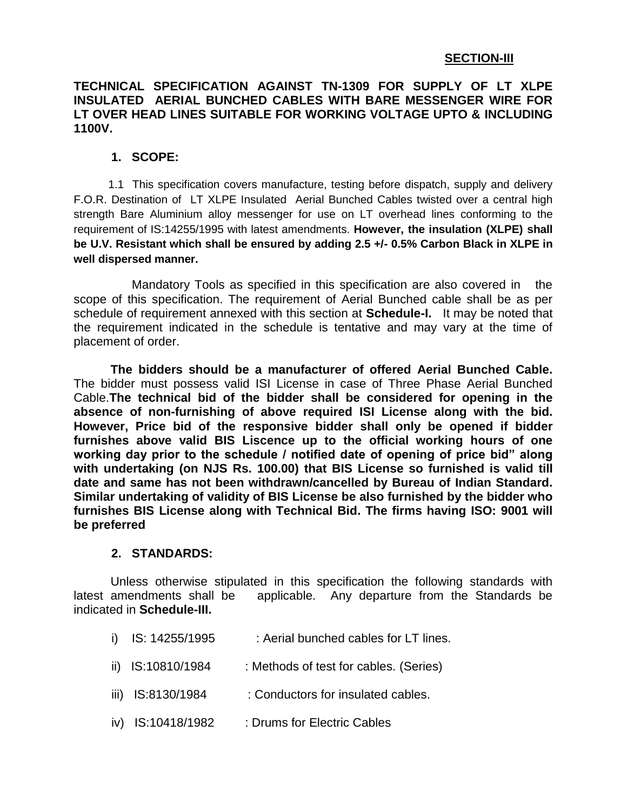## **SECTION-III**

#### **TECHNICAL SPECIFICATION AGAINST TN-1309 FOR SUPPLY OF LT XLPE INSULATED AERIAL BUNCHED CABLES WITH BARE MESSENGER WIRE FOR LT OVER HEAD LINES SUITABLE FOR WORKING VOLTAGE UPTO & INCLUDING 1100V.**

#### **1. SCOPE:**

 1.1 This specification covers manufacture, testing before dispatch, supply and delivery F.O.R. Destination of LT XLPE Insulated Aerial Bunched Cables twisted over a central high strength Bare Aluminium alloy messenger for use on LT overhead lines conforming to the requirement of IS:14255/1995 with latest amendments. **However, the insulation (XLPE) shall be U.V. Resistant which shall be ensured by adding 2.5 +/- 0.5% Carbon Black in XLPE in well dispersed manner.** 

 Mandatory Tools as specified in this specification are also covered in the scope of this specification. The requirement of Aerial Bunched cable shall be as per schedule of requirement annexed with this section at **Schedule-I.** It may be noted that the requirement indicated in the schedule is tentative and may vary at the time of placement of order.

**The bidders should be a manufacturer of offered Aerial Bunched Cable.**  The bidder must possess valid ISI License in case of Three Phase Aerial Bunched Cable.**The technical bid of the bidder shall be considered for opening in the absence of non-furnishing of above required ISI License along with the bid. However, Price bid of the responsive bidder shall only be opened if bidder furnishes above valid BIS Liscence up to the official working hours of one working day prior to the schedule / notified date of opening of price bid" along with undertaking (on NJS Rs. 100.00) that BIS License so furnished is valid till date and same has not been withdrawn/cancelled by Bureau of Indian Standard. Similar undertaking of validity of BIS License be also furnished by the bidder who furnishes BIS License along with Technical Bid. The firms having ISO: 9001 will be preferred**

#### **2. STANDARDS:**

Unless otherwise stipulated in this specification the following standards with latest amendments shall be applicable. Any departure from the Standards be indicated in **Schedule-III.**

- i) IS: 14255/1995 : Aerial bunched cables for LT lines.
- ii) IS:10810/1984 : Methods of test for cables. (Series)
- iii) IS:8130/1984 : Conductors for insulated cables.
- iv) IS:10418/1982 : Drums for Electric Cables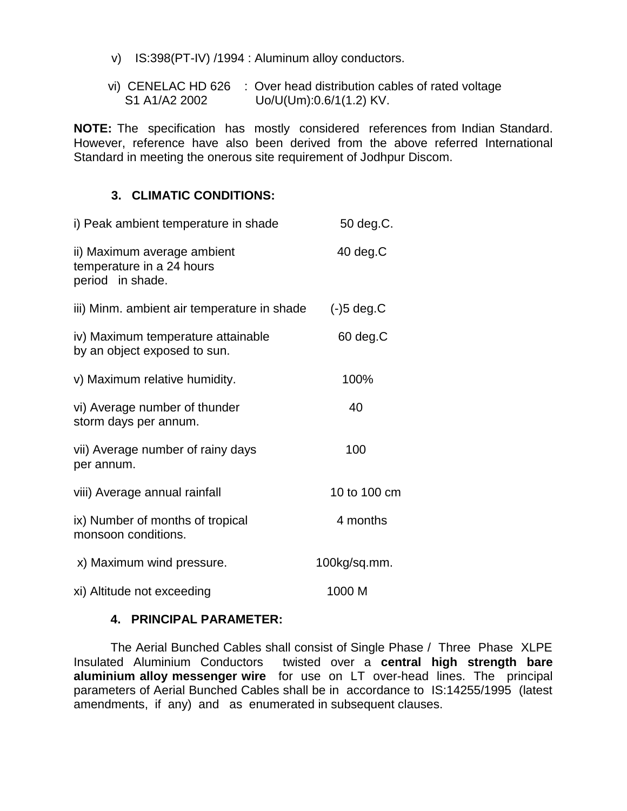- v) IS:398(PT-IV) /1994 : Aluminum alloy conductors.
- vi) CENELAC HD 626 : Over head distribution cables of rated voltage S1 A1/A2 2002 Uo/U(Um):0.6/1(1.2) KV.

**NOTE:** The specification has mostly considered references from Indian Standard. However, reference have also been derived from the above referred International Standard in meeting the onerous site requirement of Jodhpur Discom.

#### **3. CLIMATIC CONDITIONS:**

| i) Peak ambient temperature in shade                                         | 50 deg.C.    |
|------------------------------------------------------------------------------|--------------|
| ii) Maximum average ambient<br>temperature in a 24 hours<br>period in shade. | 40 deg.C     |
| iii) Minm. ambient air temperature in shade                                  | $(-)5$ deg.C |
| iv) Maximum temperature attainable<br>by an object exposed to sun.           | 60 deg.C     |
| v) Maximum relative humidity.                                                | 100%         |
| vi) Average number of thunder<br>storm days per annum.                       | 40           |
| vii) Average number of rainy days<br>per annum.                              | 100          |
| viii) Average annual rainfall                                                | 10 to 100 cm |
| ix) Number of months of tropical<br>monsoon conditions.                      | 4 months     |
| x) Maximum wind pressure.                                                    | 100kg/sq.mm. |
| xi) Altitude not exceeding                                                   | 1000 M       |

#### **4. PRINCIPAL PARAMETER:**

The Aerial Bunched Cables shall consist of Single Phase / Three Phase XLPE Insulated Aluminium Conductors twisted over a **central high strength bare aluminium alloy messenger wire** for use on LT over-head lines. The principal parameters of Aerial Bunched Cables shall be in accordance to IS:14255/1995 (latest amendments, if any) and as enumerated in subsequent clauses.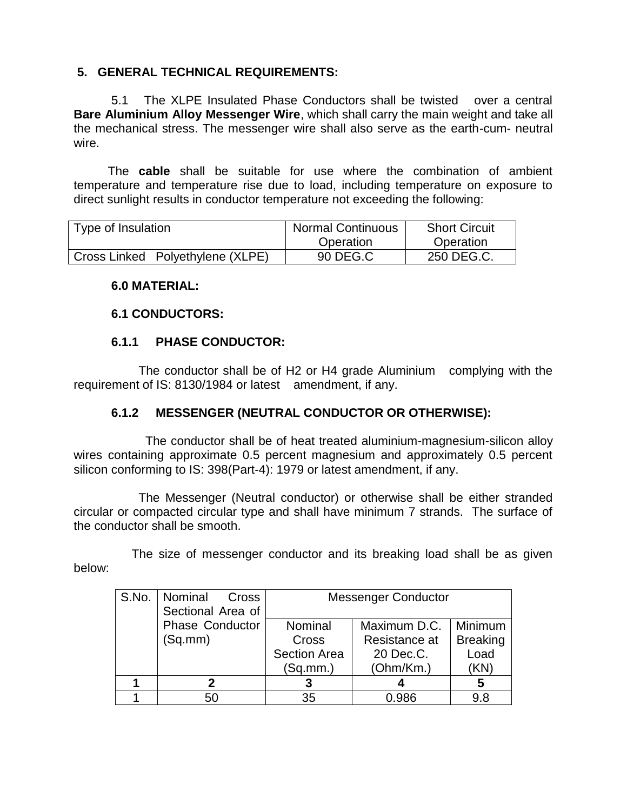## **5. GENERAL TECHNICAL REQUIREMENTS:**

 5.1 The XLPE Insulated Phase Conductors shall be twisted over a central **Bare Aluminium Alloy Messenger Wire**, which shall carry the main weight and take all the mechanical stress. The messenger wire shall also serve as the earth-cum- neutral wire.

 The **cable** shall be suitable for use where the combination of ambient temperature and temperature rise due to load, including temperature on exposure to direct sunlight results in conductor temperature not exceeding the following:

| Type of Insulation               | <b>Normal Continuous</b> | <b>Short Circuit</b> |
|----------------------------------|--------------------------|----------------------|
|                                  | Operation                | Operation            |
| Cross Linked Polyethylene (XLPE) | 90 DEG.C                 | 250 DEG.C.           |

#### **6.0 MATERIAL:**

#### **6.1 CONDUCTORS:**

## **6.1.1 PHASE CONDUCTOR:**

 The conductor shall be of H2 or H4 grade Aluminium complying with the requirement of IS: 8130/1984 or latest amendment, if any.

#### **6.1.2 MESSENGER (NEUTRAL CONDUCTOR OR OTHERWISE):**

 The conductor shall be of heat treated aluminium-magnesium-silicon alloy wires containing approximate 0.5 percent magnesium and approximately 0.5 percent silicon conforming to IS: 398(Part-4): 1979 or latest amendment, if any.

 The Messenger (Neutral conductor) or otherwise shall be either stranded circular or compacted circular type and shall have minimum 7 strands. The surface of the conductor shall be smooth.

 The size of messenger conductor and its breaking load shall be as given below:

| S.No.   Nominal Cross  | <b>Messenger Conductor</b> |               |                 |
|------------------------|----------------------------|---------------|-----------------|
| Sectional Area of      |                            |               |                 |
| <b>Phase Conductor</b> | Nominal                    | Maximum D.C.  | Minimum         |
| (Sq.mm)                | <b>Cross</b>               | Resistance at | <b>Breaking</b> |
|                        | <b>Section Area</b>        | 20 Dec.C.     | Load            |
|                        | (Sq.mm.)                   | (Ohm/Km.)     | (KN)            |
|                        |                            |               | 5               |
| 50                     | 35                         | በ ዓጸፍ         | 9.8             |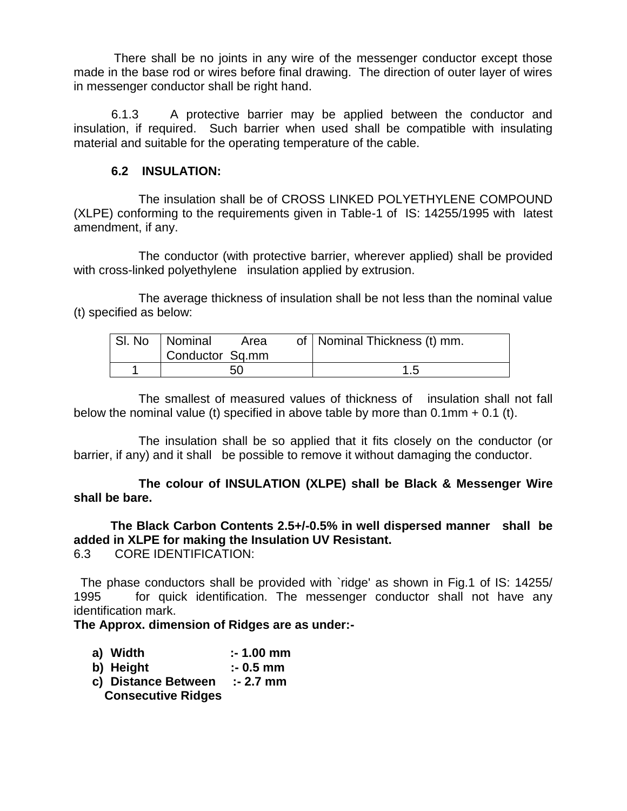There shall be no joints in any wire of the messenger conductor except those made in the base rod or wires before final drawing. The direction of outer layer of wires in messenger conductor shall be right hand.

 6.1.3 A protective barrier may be applied between the conductor and insulation, if required. Such barrier when used shall be compatible with insulating material and suitable for the operating temperature of the cable.

#### **6.2 INSULATION:**

 The insulation shall be of CROSS LINKED POLYETHYLENE COMPOUND (XLPE) conforming to the requirements given in Table-1 of IS: 14255/1995 with latest amendment, if any.

 The conductor (with protective barrier, wherever applied) shall be provided with cross-linked polyethylene insulation applied by extrusion.

 The average thickness of insulation shall be not less than the nominal value (t) specified as below:

| SI. No   Nominal | Area | of   Nominal Thickness (t) mm. |
|------------------|------|--------------------------------|
| Conductor Sq.mm  |      |                                |
|                  | 50   | 1.5                            |

 The smallest of measured values of thickness of insulation shall not fall below the nominal value (t) specified in above table by more than  $0.1$ mm  $+$   $0.1$  (t).

 The insulation shall be so applied that it fits closely on the conductor (or barrier, if any) and it shall be possible to remove it without damaging the conductor.

 **The colour of INSULATION (XLPE) shall be Black & Messenger Wire shall be bare.**

**The Black Carbon Contents 2.5+/-0.5% in well dispersed manner shall be added in XLPE for making the Insulation UV Resistant.** 6.3 CORE IDENTIFICATION:

 The phase conductors shall be provided with `ridge' as shown in Fig.1 of IS: 14255/ 1995 for quick identification. The messenger conductor shall not have any identification mark.

#### **The Approx. dimension of Ridges are as under:-**

| a) Width | $: 1.00$ mm |
|----------|-------------|
|----------|-------------|

- **b) Height :- 0.5 mm**
- **c) Distance Between :- 2.7 mm Consecutive Ridges**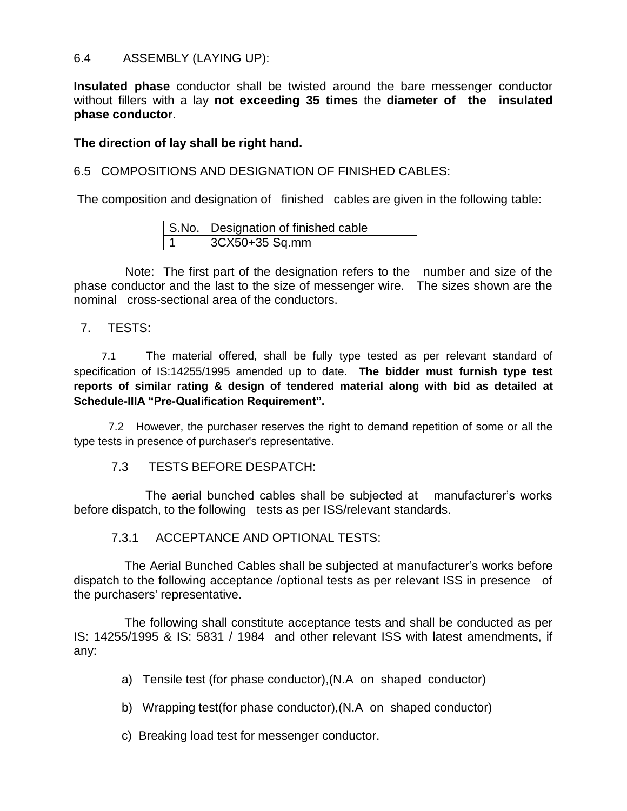#### 6.4 ASSEMBLY (LAYING UP):

**Insulated phase** conductor shall be twisted around the bare messenger conductor without fillers with a lay **not exceeding 35 times** the **diameter of the insulated phase conductor**.

#### **The direction of lay shall be right hand.**

6.5 COMPOSITIONS AND DESIGNATION OF FINISHED CABLES:

The composition and designation of finished cables are given in the following table:

|     | S.No.   Designation of finished cable |
|-----|---------------------------------------|
| l 1 | 3CX50+35 Sq.mm                        |

 Note: The first part of the designation refers to the number and size of the phase conductor and the last to the size of messenger wire. The sizes shown are the nominal cross-sectional area of the conductors.

#### 7. TESTS:

 7.1 The material offered, shall be fully type tested as per relevant standard of specification of IS:14255/1995 amended up to date. **The bidder must furnish type test reports of similar rating & design of tendered material along with bid as detailed at Schedule-IIIA "Pre-Qualification Requirement".**

 7.2 However, the purchaser reserves the right to demand repetition of some or all the type tests in presence of purchaser's representative.

#### 7.3 TESTS BEFORE DESPATCH:

 The aerial bunched cables shall be subjected at manufacturer's works before dispatch, to the following tests as per ISS/relevant standards.

7.3.1 ACCEPTANCE AND OPTIONAL TESTS:

The Aerial Bunched Cables shall be subjected at manufacturer's works before dispatch to the following acceptance /optional tests as per relevant ISS in presence of the purchasers' representative.

The following shall constitute acceptance tests and shall be conducted as per IS: 14255/1995 & IS: 5831 / 1984 and other relevant ISS with latest amendments, if any:

- a) Tensile test (for phase conductor),(N.A on shaped conductor)
- b) Wrapping test(for phase conductor),(N.A on shaped conductor)
- c) Breaking load test for messenger conductor.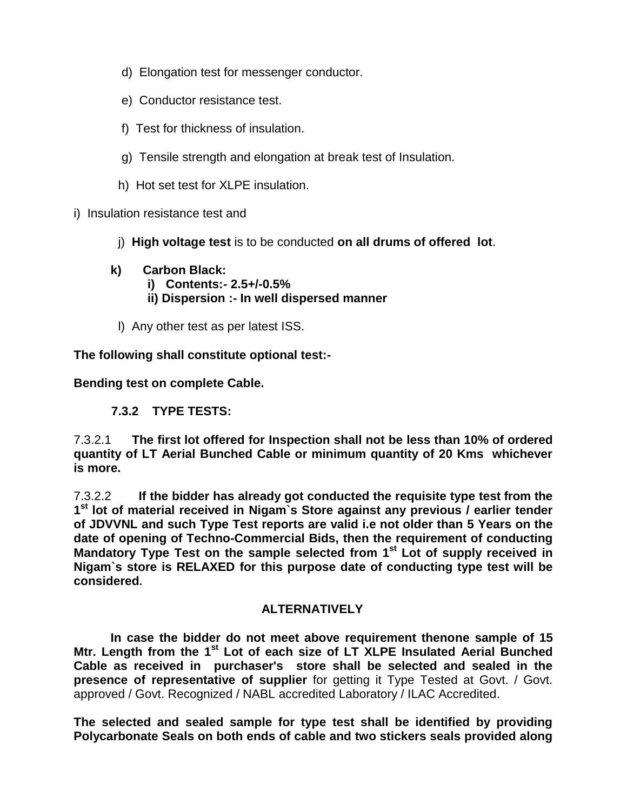- d) Elongation test for messenger conductor.
- e) Conductor resistance test.
- f) Test for thickness of insulation.
- g) Tensile strength and elongation at break test of Insulation.
- h) Hot set test for XLPE insulation.
- i) Insulation resistance test and
	- j) **High voltage test** is to be conducted **on all drums of offered lot**.
	- **k) Carbon Black: i) Contents:- 2.5+/-0.5% ii) Dispersion :- In well dispersed manner**
	- l) Any other test as per latest ISS.

**The following shall constitute optional test:-** 

**Bending test on complete Cable.**

## **7.3.2 TYPE TESTS:**

7.3.2.1 **The first lot offered for Inspection shall not be less than 10% of ordered quantity of LT Aerial Bunched Cable or minimum quantity of 20 Kms whichever is more.**

7.3.2.2 **If the bidder has already got conducted the requisite type test from the 1 st lot of material received in Nigam`s Store against any previous / earlier tender of JDVVNL and such Type Test reports are valid i.e not older than 5 Years on the date of opening of Techno-Commercial Bids, then the requirement of conducting Mandatory Type Test on the sample selected from 1st Lot of supply received in Nigam`s store is RELAXED for this purpose date of conducting type test will be considered.**

#### **ALTERNATIVELY**

**In case the bidder do not meet above requirement thenone sample of 15 Mtr. Length from the 1st Lot of each size of LT XLPE Insulated Aerial Bunched Cable as received in purchaser's store shall be selected and sealed in the presence of representative of supplier** for getting it Type Tested at Govt. / Govt. approved / Govt. Recognized / NABL accredited Laboratory / ILAC Accredited.

**The selected and sealed sample for type test shall be identified by providing Polycarbonate Seals on both ends of cable and two stickers seals provided along**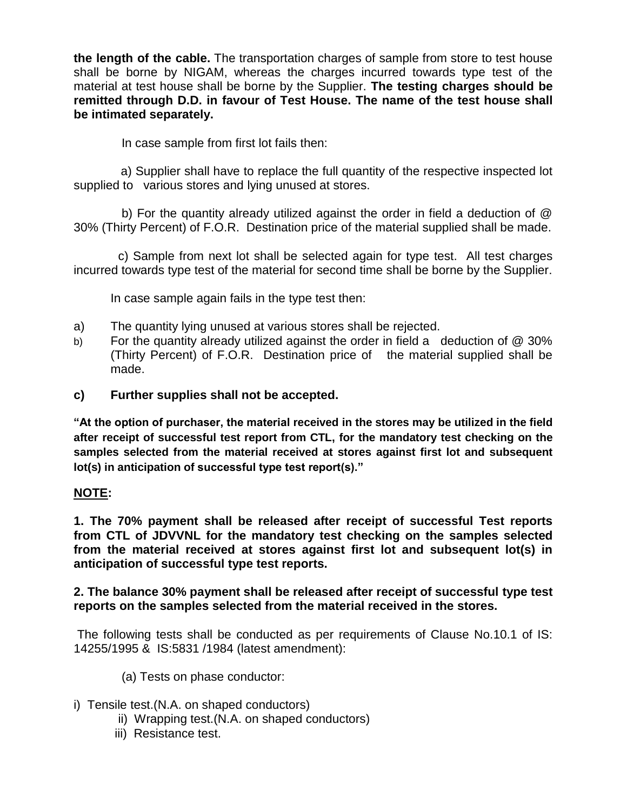**the length of the cable.** The transportation charges of sample from store to test house shall be borne by NIGAM, whereas the charges incurred towards type test of the material at test house shall be borne by the Supplier. **The testing charges should be remitted through D.D. in favour of Test House. The name of the test house shall be intimated separately.** 

In case sample from first lot fails then:

 a) Supplier shall have to replace the full quantity of the respective inspected lot supplied to various stores and lying unused at stores.

 b) For the quantity already utilized against the order in field a deduction of @ 30% (Thirty Percent) of F.O.R. Destination price of the material supplied shall be made.

 c) Sample from next lot shall be selected again for type test. All test charges incurred towards type test of the material for second time shall be borne by the Supplier.

In case sample again fails in the type test then:

- a) The quantity lying unused at various stores shall be rejected.
- b) For the quantity already utilized against the order in field a deduction of @ 30% (Thirty Percent) of F.O.R. Destination price of the material supplied shall be made.
- **c) Further supplies shall not be accepted.**

**"At the option of purchaser, the material received in the stores may be utilized in the field after receipt of successful test report from CTL, for the mandatory test checking on the samples selected from the material received at stores against first lot and subsequent lot(s) in anticipation of successful type test report(s)."**

#### **NOTE:**

**1. The 70% payment shall be released after receipt of successful Test reports from CTL of JDVVNL for the mandatory test checking on the samples selected from the material received at stores against first lot and subsequent lot(s) in anticipation of successful type test reports.**

**2. The balance 30% payment shall be released after receipt of successful type test reports on the samples selected from the material received in the stores.**

The following tests shall be conducted as per requirements of Clause No.10.1 of IS: 14255/1995 & IS:5831 /1984 (latest amendment):

- (a) Tests on phase conductor:
- i) Tensile test.(N.A. on shaped conductors)
	- ii) Wrapping test.(N.A. on shaped conductors)
	- iii) Resistance test.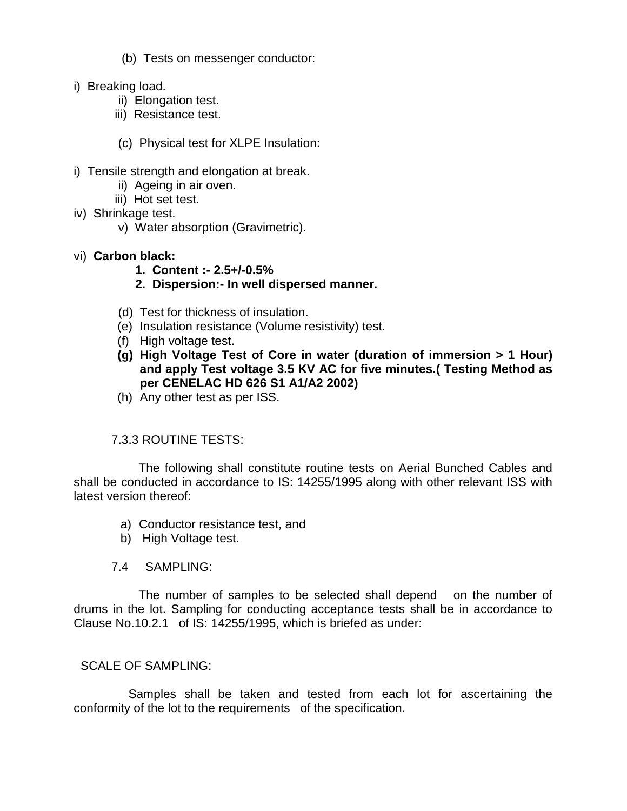(b) Tests on messenger conductor:

- i) Breaking load.
	- ii) Elongation test.
	- iii) Resistance test.
	- (c) Physical test for XLPE Insulation:
- i) Tensile strength and elongation at break.
	- ii) Ageing in air oven.
	- iii) Hot set test.
- iv) Shrinkage test.
	- v) Water absorption (Gravimetric).
- vi) **Carbon black:**
	- **1. Content :- 2.5+/-0.5%**
	- **2. Dispersion:- In well dispersed manner.**
	- (d) Test for thickness of insulation.
	- (e) Insulation resistance (Volume resistivity) test.
	- (f) High voltage test.
	- **(g) High Voltage Test of Core in water (duration of immersion > 1 Hour) and apply Test voltage 3.5 KV AC for five minutes.( Testing Method as per CENELAC HD 626 S1 A1/A2 2002)**
	- (h) Any other test as per ISS.

#### 7.3.3 ROUTINE TESTS:

 The following shall constitute routine tests on Aerial Bunched Cables and shall be conducted in accordance to IS: 14255/1995 along with other relevant ISS with latest version thereof:

- a) Conductor resistance test, and
- b) High Voltage test.
- 7.4 SAMPLING:

 The number of samples to be selected shall depend on the number of drums in the lot. Sampling for conducting acceptance tests shall be in accordance to Clause No.10.2.1 of IS: 14255/1995, which is briefed as under:

#### SCALE OF SAMPLING:

 Samples shall be taken and tested from each lot for ascertaining the conformity of the lot to the requirements of the specification.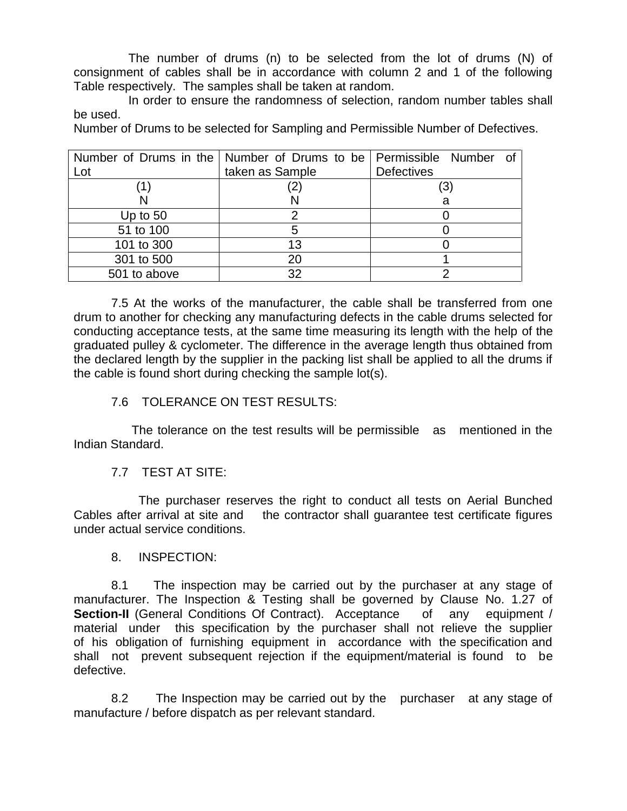The number of drums (n) to be selected from the lot of drums (N) of consignment of cables shall be in accordance with column 2 and 1 of the following Table respectively. The samples shall be taken at random.

 In order to ensure the randomness of selection, random number tables shall be used.

Number of Drums to be selected for Sampling and Permissible Number of Defectives.

|              | Number of Drums in the   Number of Drums to be   Permissible Number of |                   |
|--------------|------------------------------------------------------------------------|-------------------|
| Lot          | taken as Sample                                                        | <b>Defectives</b> |
|              |                                                                        | '3)               |
|              |                                                                        | a                 |
| Up to $50$   |                                                                        |                   |
| 51 to 100    |                                                                        |                   |
| 101 to 300   | 13                                                                     |                   |
| 301 to 500   |                                                                        |                   |
| 501 to above | 32                                                                     |                   |

 7.5 At the works of the manufacturer, the cable shall be transferred from one drum to another for checking any manufacturing defects in the cable drums selected for conducting acceptance tests, at the same time measuring its length with the help of the graduated pulley & cyclometer. The difference in the average length thus obtained from the declared length by the supplier in the packing list shall be applied to all the drums if the cable is found short during checking the sample lot(s).

7.6 TOLERANCE ON TEST RESULTS:

 The tolerance on the test results will be permissible as mentioned in the Indian Standard.

7.7 TEST AT SITE:

 The purchaser reserves the right to conduct all tests on Aerial Bunched Cables after arrival at site and the contractor shall guarantee test certificate figures under actual service conditions.

8. INSPECTION:

 8.1 The inspection may be carried out by the purchaser at any stage of manufacturer. The Inspection & Testing shall be governed by Clause No. 1.27 of **Section-II** (General Conditions Of Contract). Acceptance of any equipment / material under this specification by the purchaser shall not relieve the supplier of his obligation of furnishing equipment in accordance with the specification and shall not prevent subsequent rejection if the equipment/material is found to be defective.

 8.2 The Inspection may be carried out by the purchaser at any stage of manufacture / before dispatch as per relevant standard.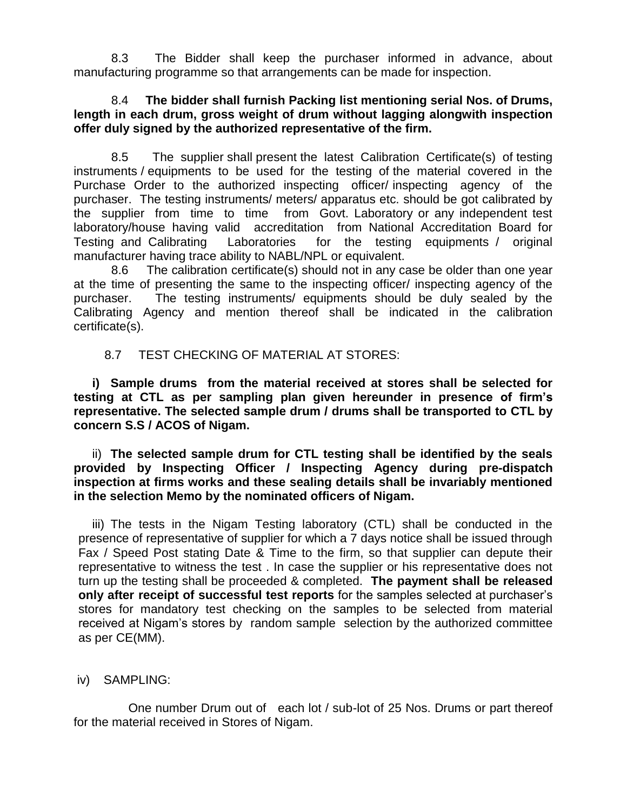8.3 The Bidder shall keep the purchaser informed in advance, about manufacturing programme so that arrangements can be made for inspection.

#### 8.4 **The bidder shall furnish Packing list mentioning serial Nos. of Drums, length in each drum, gross weight of drum without lagging alongwith inspection offer duly signed by the authorized representative of the firm.**

 8.5 The supplier shall present the latest Calibration Certificate(s) of testing instruments / equipments to be used for the testing of the material covered in the Purchase Order to the authorized inspecting officer/ inspecting agency of the purchaser. The testing instruments/ meters/ apparatus etc. should be got calibrated by the supplier from time to time from Govt. Laboratory or any independent test laboratory/house having valid accreditation from National Accreditation Board for Testing and Calibrating Laboratories for the testing equipments / original manufacturer having trace ability to NABL/NPL or equivalent.

 8.6 The calibration certificate(s) should not in any case be older than one year at the time of presenting the same to the inspecting officer/ inspecting agency of the purchaser. The testing instruments/ equipments should be duly sealed by the Calibrating Agency and mention thereof shall be indicated in the calibration certificate(s).

## 8.7 TEST CHECKING OF MATERIAL AT STORES:

**i) Sample drums from the material received at stores shall be selected for testing at CTL as per sampling plan given hereunder in presence of firm's representative. The selected sample drum / drums shall be transported to CTL by concern S.S / ACOS of Nigam.**

ii) **The selected sample drum for CTL testing shall be identified by the seals provided by Inspecting Officer / Inspecting Agency during pre-dispatch inspection at firms works and these sealing details shall be invariably mentioned in the selection Memo by the nominated officers of Nigam.**

iii) The tests in the Nigam Testing laboratory (CTL) shall be conducted in the presence of representative of supplier for which a 7 days notice shall be issued through Fax / Speed Post stating Date & Time to the firm, so that supplier can depute their representative to witness the test . In case the supplier or his representative does not turn up the testing shall be proceeded & completed. **The payment shall be released only after receipt of successful test reports** for the samples selected at purchaser's stores for mandatory test checking on the samples to be selected from material received at Nigam's stores by random sample selection by the authorized committee as per CE(MM).

## iv) SAMPLING:

 One number Drum out of each lot / sub-lot of 25 Nos. Drums or part thereof for the material received in Stores of Nigam.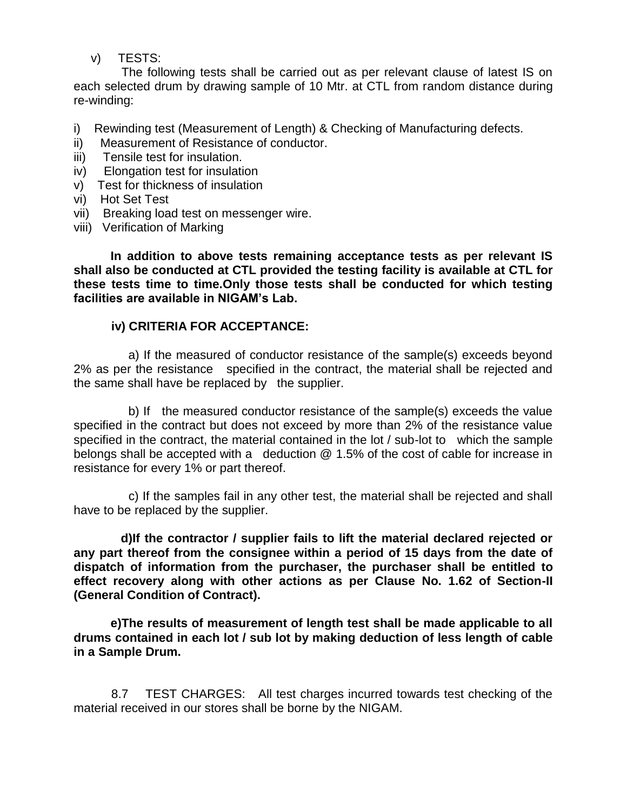v) TESTS:

 The following tests shall be carried out as per relevant clause of latest IS on each selected drum by drawing sample of 10 Mtr. at CTL from random distance during re-winding:

- i) Rewinding test (Measurement of Length) & Checking of Manufacturing defects.
- ii) Measurement of Resistance of conductor.
- iii) Tensile test for insulation.
- iv) Elongation test for insulation
- v) Test for thickness of insulation
- vi) Hot Set Test
- vii) Breaking load test on messenger wire.
- viii) Verification of Marking

**In addition to above tests remaining acceptance tests as per relevant IS shall also be conducted at CTL provided the testing facility is available at CTL for these tests time to time.Only those tests shall be conducted for which testing facilities are available in NIGAM's Lab.**

## **iv) CRITERIA FOR ACCEPTANCE:**

 a) If the measured of conductor resistance of the sample(s) exceeds beyond 2% as per the resistance specified in the contract, the material shall be rejected and the same shall have be replaced by the supplier.

 b) If the measured conductor resistance of the sample(s) exceeds the value specified in the contract but does not exceed by more than 2% of the resistance value specified in the contract, the material contained in the lot / sub-lot to which the sample belongs shall be accepted with a deduction @ 1.5% of the cost of cable for increase in resistance for every 1% or part thereof.

 c) If the samples fail in any other test, the material shall be rejected and shall have to be replaced by the supplier.

 **d)If the contractor / supplier fails to lift the material declared rejected or any part thereof from the consignee within a period of 15 days from the date of dispatch of information from the purchaser, the purchaser shall be entitled to effect recovery along with other actions as per Clause No. 1.62 of Section-II (General Condition of Contract).**

**e)The results of measurement of length test shall be made applicable to all drums contained in each lot / sub lot by making deduction of less length of cable in a Sample Drum.**

 8.7 TEST CHARGES: All test charges incurred towards test checking of the material received in our stores shall be borne by the NIGAM.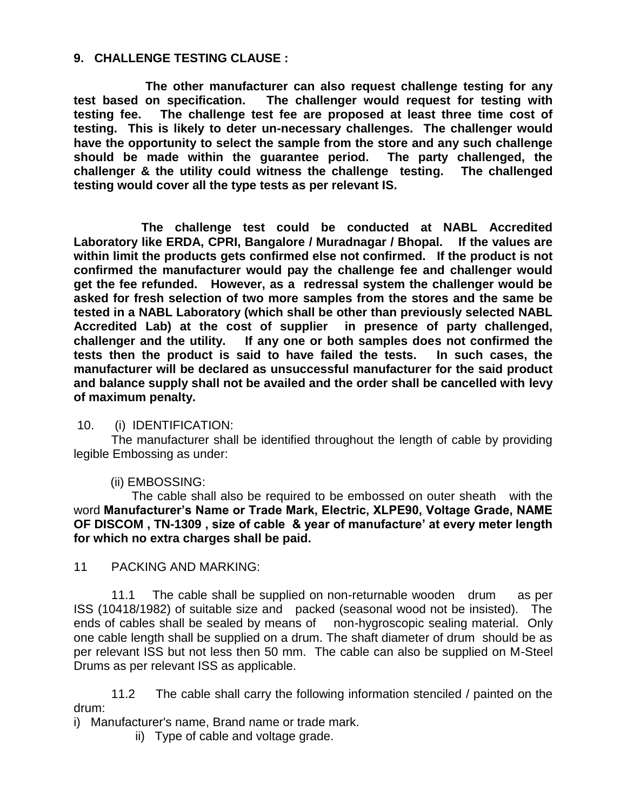#### **9. CHALLENGE TESTING CLAUSE :**

 **The other manufacturer can also request challenge testing for any test based on specification. The challenger would request for testing with testing fee. The challenge test fee are proposed at least three time cost of testing. This is likely to deter un-necessary challenges. The challenger would have the opportunity to select the sample from the store and any such challenge should be made within the guarantee period. The party challenged, the challenger & the utility could witness the challenge testing. The challenged testing would cover all the type tests as per relevant IS.** 

 **The challenge test could be conducted at NABL Accredited Laboratory like ERDA, CPRI, Bangalore / Muradnagar / Bhopal. If the values are within limit the products gets confirmed else not confirmed. If the product is not confirmed the manufacturer would pay the challenge fee and challenger would get the fee refunded. However, as a redressal system the challenger would be asked for fresh selection of two more samples from the stores and the same be tested in a NABL Laboratory (which shall be other than previously selected NABL Accredited Lab) at the cost of supplier in presence of party challenged, challenger and the utility. If any one or both samples does not confirmed the tests then the product is said to have failed the tests. In such cases, the manufacturer will be declared as unsuccessful manufacturer for the said product and balance supply shall not be availed and the order shall be cancelled with levy of maximum penalty.** 

#### 10. (i) IDENTIFICATION:

 The manufacturer shall be identified throughout the length of cable by providing legible Embossing as under:

#### (ii) EMBOSSING:

 The cable shall also be required to be embossed on outer sheath with the word **Manufacturer's Name or Trade Mark, Electric, XLPE90, Voltage Grade, NAME OF DISCOM , TN-1309 , size of cable & year of manufacture' at every meter length for which no extra charges shall be paid.**

11 PACKING AND MARKING:

 11.1 The cable shall be supplied on non-returnable wooden drum as per ISS (10418/1982) of suitable size and packed (seasonal wood not be insisted). The ends of cables shall be sealed by means of non-hygroscopic sealing material. Only one cable length shall be supplied on a drum. The shaft diameter of drum should be as per relevant ISS but not less then 50 mm. The cable can also be supplied on M-Steel Drums as per relevant ISS as applicable.

 11.2 The cable shall carry the following information stenciled / painted on the drum:

i) Manufacturer's name, Brand name or trade mark.

ii) Type of cable and voltage grade.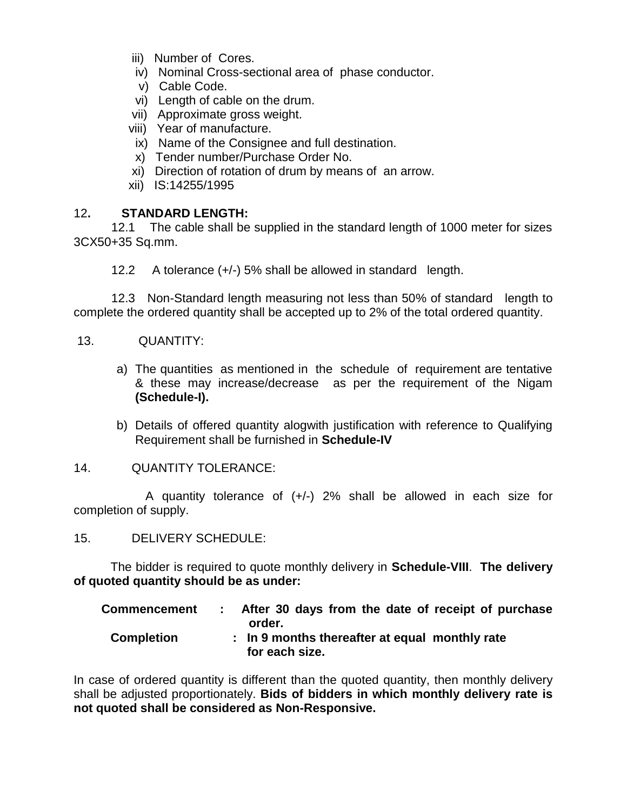- iii) Number of Cores.
- iv) Nominal Cross-sectional area of phase conductor.
- v) Cable Code.
- vi) Length of cable on the drum.
- vii) Approximate gross weight.
- viii) Year of manufacture.
- ix) Name of the Consignee and full destination.
- x) Tender number/Purchase Order No.
- xi) Direction of rotation of drum by means of an arrow.
- xii) IS:14255/1995

#### 12**. STANDARD LENGTH:**

 12.1 The cable shall be supplied in the standard length of 1000 meter for sizes 3CX50+35 Sq.mm.

12.2 A tolerance (+/-) 5% shall be allowed in standard length.

 12.3 Non-Standard length measuring not less than 50% of standard length to complete the ordered quantity shall be accepted up to 2% of the total ordered quantity.

- 13. QUANTITY:
	- a) The quantities as mentioned in the schedule of requirement are tentative & these may increase/decrease as per the requirement of the Nigam **(Schedule-I).**
	- b) Details of offered quantity alogwith justification with reference to Qualifying Requirement shall be furnished in **Schedule-IV**
- 14. QUANTITY TOLERANCE:

A quantity tolerance of  $(+/-)$  2% shall be allowed in each size for completion of supply.

15. DELIVERY SCHEDULE:

The bidder is required to quote monthly delivery in **Schedule-VIII**. **The delivery of quoted quantity should be as under:**

| <b>Commencement</b> | After 30 days from the date of receipt of purchase<br>order.     |
|---------------------|------------------------------------------------------------------|
| <b>Completion</b>   | : In 9 months thereafter at equal monthly rate<br>for each size. |

In case of ordered quantity is different than the quoted quantity, then monthly delivery shall be adjusted proportionately. **Bids of bidders in which monthly delivery rate is not quoted shall be considered as Non-Responsive.**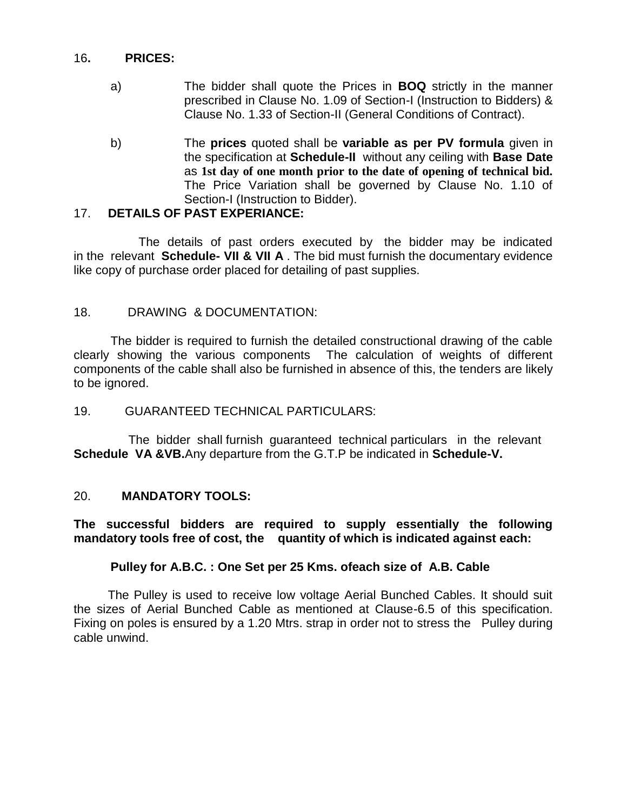#### 16**. PRICES:**

- a) The bidder shall quote the Prices in **BOQ** strictly in the manner prescribed in Clause No. 1.09 of Section-I (Instruction to Bidders) & Clause No. 1.33 of Section-II (General Conditions of Contract).
- b) The **prices** quoted shall be **variable as per PV formula** given in the specification at **Schedule-II** without any ceiling with **Base Date** as **1st day of one month prior to the date of opening of technical bid.** The Price Variation shall be governed by Clause No. 1.10 of Section-I (Instruction to Bidder).

#### 17. **DETAILS OF PAST EXPERIANCE:**

 The details of past orders executed by the bidder may be indicated in the relevant **Schedule- VII & VII A** . The bid must furnish the documentary evidence like copy of purchase order placed for detailing of past supplies.

## 18. DRAWING & DOCUMENTATION:

The bidder is required to furnish the detailed constructional drawing of the cable clearly showing the various components The calculation of weights of different components of the cable shall also be furnished in absence of this, the tenders are likely to be ignored.

#### 19. GUARANTEED TECHNICAL PARTICULARS:

 The bidder shall furnish guaranteed technical particulars in the relevant **Schedule VA &VB.**Any departure from the G.T.P be indicated in **Schedule-V.**

#### 20. **MANDATORY TOOLS:**

**The successful bidders are required to supply essentially the following mandatory tools free of cost, the quantity of which is indicated against each:**

#### **Pulley for A.B.C. : One Set per 25 Kms. ofeach size of A.B. Cable**

 The Pulley is used to receive low voltage Aerial Bunched Cables. It should suit the sizes of Aerial Bunched Cable as mentioned at Clause-6.5 of this specification. Fixing on poles is ensured by a 1.20 Mtrs. strap in order not to stress the Pulley during cable unwind.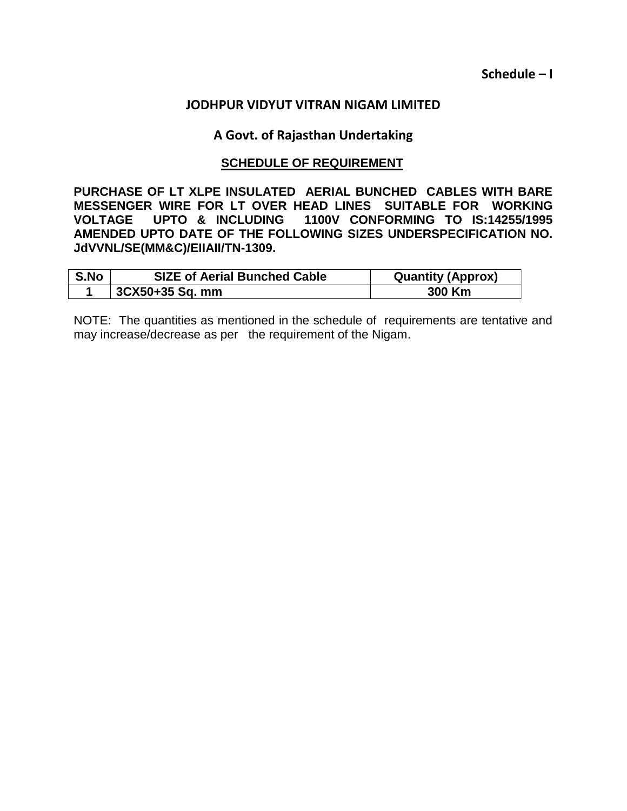**Schedule – I**

#### **JODHPUR VIDYUT VITRAN NIGAM LIMITED**

#### **A Govt. of Rajasthan Undertaking**

#### **SCHEDULE OF REQUIREMENT**

**PURCHASE OF LT XLPE INSULATED AERIAL BUNCHED CABLES WITH BARE MESSENGER WIRE FOR LT OVER HEAD LINES SUITABLE FOR WORKING VOLTAGE UPTO & INCLUDING 1100V CONFORMING TO IS:14255/1995 AMENDED UPTO DATE OF THE FOLLOWING SIZES UNDERSPECIFICATION NO. JdVVNL/SE(MM&C)/EIIAII/TN-1309.**

| S.No | <b>SIZE of Aerial Bunched Cable</b> | <b>Quantity (Approx)</b> |
|------|-------------------------------------|--------------------------|
|      | 3CX50+35 Sq. mm                     | 300 Km                   |

NOTE: The quantities as mentioned in the schedule of requirements are tentative and may increase/decrease as per the requirement of the Nigam.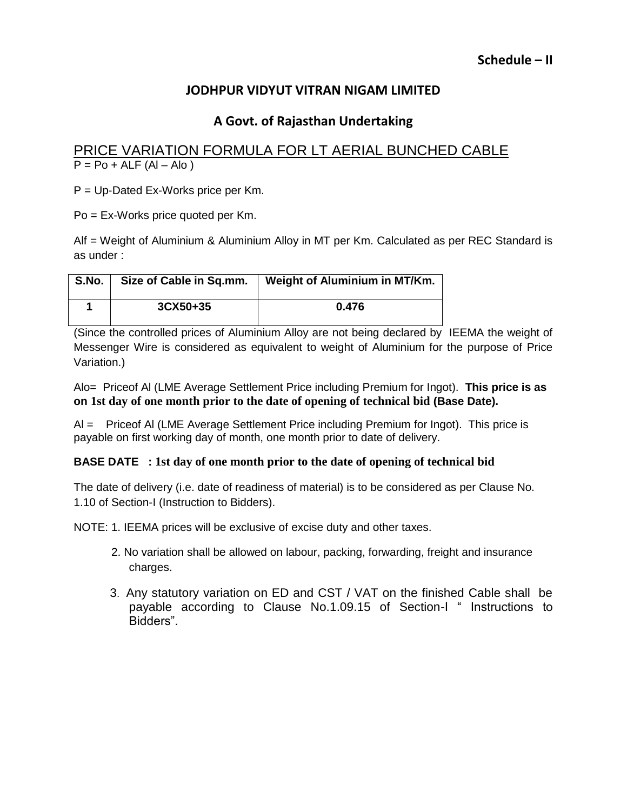## **A Govt. of Rajasthan Undertaking**

## PRICE VARIATION FORMULA FOR LT AERIAL BUNCHED CABLE  $P = Po + ALF (Al - Alo)$

P = Up-Dated Ex-Works price per Km.

Po = Ex-Works price quoted per Km.

Alf = Weight of Aluminium & Aluminium Alloy in MT per Km. Calculated as per REC Standard is as under :

| S.No. | Size of Cable in Sq.mm. | Weight of Aluminium in MT/Km. |
|-------|-------------------------|-------------------------------|
|       | 3CX50+35                | 0.476                         |

(Since the controlled prices of Aluminium Alloy are not being declared by IEEMA the weight of Messenger Wire is considered as equivalent to weight of Aluminium for the purpose of Price Variation.)

Alo= Priceof Al (LME Average Settlement Price including Premium for Ingot). **This price is as on 1st day of one month prior to the date of opening of technical bid (Base Date).**

Al = Priceof Al (LME Average Settlement Price including Premium for Ingot). This price is payable on first working day of month, one month prior to date of delivery.

#### **BASE DATE : 1st day of one month prior to the date of opening of technical bid**

The date of delivery (i.e. date of readiness of material) is to be considered as per Clause No. 1.10 of Section-I (Instruction to Bidders).

NOTE: 1. IEEMA prices will be exclusive of excise duty and other taxes.

- 2. No variation shall be allowed on labour, packing, forwarding, freight and insurance charges.
- 3. Any statutory variation on ED and CST / VAT on the finished Cable shall be payable according to Clause No.1.09.15 of Section-I " Instructions to Bidders".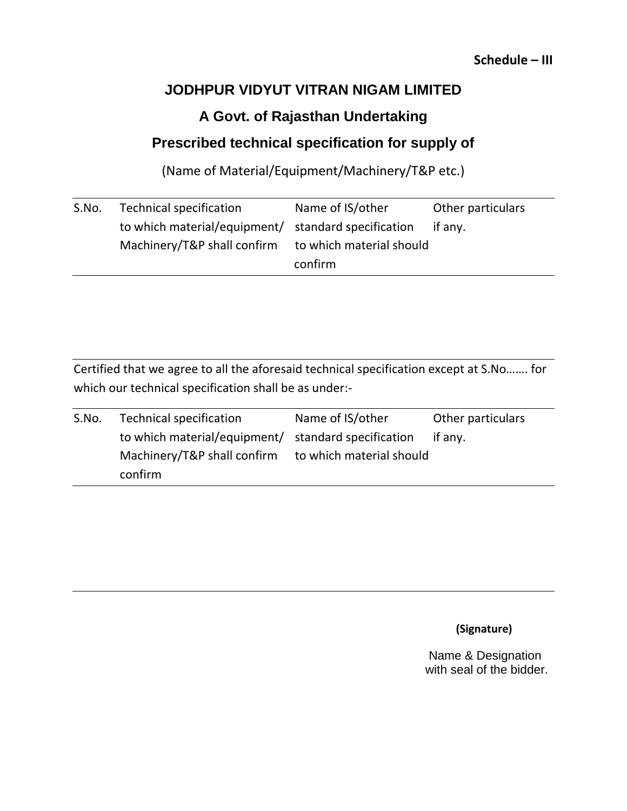## **Schedule – III**

# **JODHPUR VIDYUT VITRAN NIGAM LIMITED**

# **A Govt. of Rajasthan Undertaking**

# **Prescribed technical specification for supply of**

(Name of Material/Equipment/Machinery/T&P etc.)

| S.No. | <b>Technical specification</b>                      | Name of IS/other         | Other particulars |
|-------|-----------------------------------------------------|--------------------------|-------------------|
|       | to which material/equipment/ standard specification |                          | if any.           |
|       | Machinery/T&P shall confirm                         | to which material should |                   |
|       |                                                     | confirm                  |                   |

Certified that we agree to all the aforesaid technical specification except at S.No……. for which our technical specification shall be as under:-

| S.No. | Technical specification                              | Name of IS/other | Other particulars |
|-------|------------------------------------------------------|------------------|-------------------|
|       | to which material/equipment/ standard specification  |                  | if any.           |
|       | Machinery/T&P shall confirm to which material should |                  |                   |
|       | confirm                                              |                  |                   |

 **(Signature)**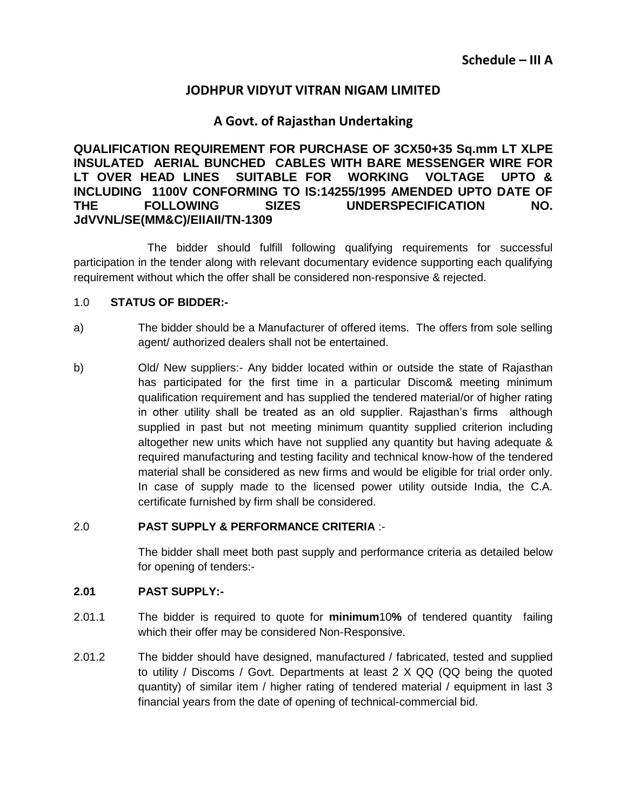## **A Govt. of Rajasthan Undertaking**

**QUALIFICATION REQUIREMENT FOR PURCHASE OF 3CX50+35 Sq.mm LT XLPE INSULATED AERIAL BUNCHED CABLES WITH BARE MESSENGER WIRE FOR LT OVER HEAD LINES SUITABLE FOR WORKING VOLTAGE UPTO & INCLUDING 1100V CONFORMING TO IS:14255/1995 AMENDED UPTO DATE OF THE FOLLOWING SIZES UNDERSPECIFICATION NO. JdVVNL/SE(MM&C)/EIIAII/TN-1309**

The bidder should fulfill following qualifying requirements for successful participation in the tender along with relevant documentary evidence supporting each qualifying requirement without which the offer shall be considered non-responsive & rejected.

#### 1.0 **STATUS OF BIDDER:-**

- a) The bidder should be a Manufacturer of offered items. The offers from sole selling agent/ authorized dealers shall not be entertained.
- b) Old/ New suppliers:- Any bidder located within or outside the state of Rajasthan has participated for the first time in a particular Discom& meeting minimum qualification requirement and has supplied the tendered material/or of higher rating in other utility shall be treated as an old supplier. Rajasthan's firms although supplied in past but not meeting minimum quantity supplied criterion including altogether new units which have not supplied any quantity but having adequate & required manufacturing and testing facility and technical know-how of the tendered material shall be considered as new firms and would be eligible for trial order only. In case of supply made to the licensed power utility outside India, the C.A. certificate furnished by firm shall be considered.

#### 2.0 **PAST SUPPLY & PERFORMANCE CRITERIA** :-

The bidder shall meet both past supply and performance criteria as detailed below for opening of tenders:-

#### **2.01 PAST SUPPLY:-**

- 2.01.1 The bidder is required to quote for **minimum**10**%** of tendered quantity failing which their offer may be considered Non-Responsive.
- 2.01.2 The bidder should have designed, manufactured / fabricated, tested and supplied to utility / Discoms / Govt. Departments at least 2 X QQ (QQ being the quoted quantity) of similar item / higher rating of tendered material / equipment in last 3 financial years from the date of opening of technical-commercial bid.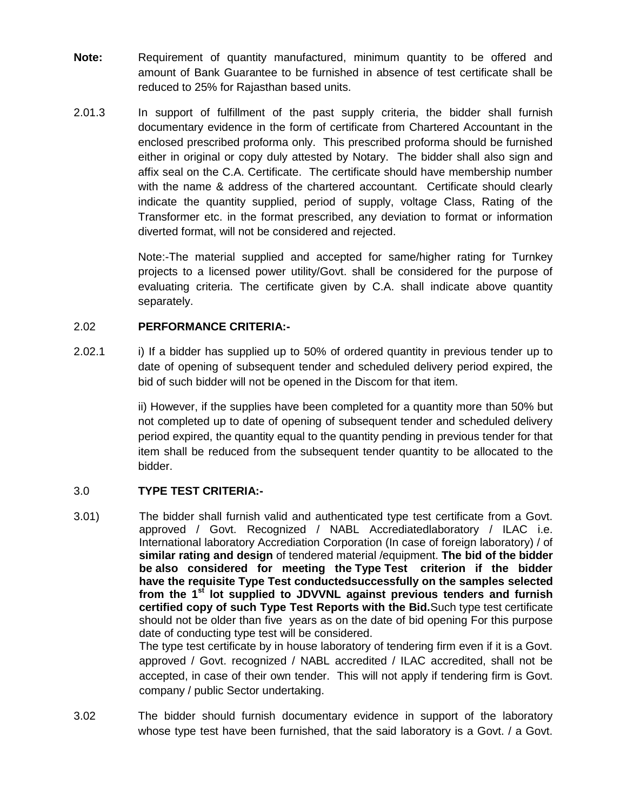- **Note:** Requirement of quantity manufactured, minimum quantity to be offered and amount of Bank Guarantee to be furnished in absence of test certificate shall be reduced to 25% for Rajasthan based units.
- 2.01.3 In support of fulfillment of the past supply criteria, the bidder shall furnish documentary evidence in the form of certificate from Chartered Accountant in the enclosed prescribed proforma only. This prescribed proforma should be furnished either in original or copy duly attested by Notary. The bidder shall also sign and affix seal on the C.A. Certificate. The certificate should have membership number with the name & address of the chartered accountant. Certificate should clearly indicate the quantity supplied, period of supply, voltage Class, Rating of the Transformer etc. in the format prescribed, any deviation to format or information diverted format, will not be considered and rejected.

Note:-The material supplied and accepted for same/higher rating for Turnkey projects to a licensed power utility/Govt. shall be considered for the purpose of evaluating criteria. The certificate given by C.A. shall indicate above quantity separately.

#### 2.02 **PERFORMANCE CRITERIA:-**

2.02.1 i) If a bidder has supplied up to 50% of ordered quantity in previous tender up to date of opening of subsequent tender and scheduled delivery period expired, the bid of such bidder will not be opened in the Discom for that item.

> ii) However, if the supplies have been completed for a quantity more than 50% but not completed up to date of opening of subsequent tender and scheduled delivery period expired, the quantity equal to the quantity pending in previous tender for that item shall be reduced from the subsequent tender quantity to be allocated to the bidder.

#### 3.0 **TYPE TEST CRITERIA:-**

3.01) The bidder shall furnish valid and authenticated type test certificate from a Govt. approved / Govt. Recognized / NABL Accrediatedlaboratory / ILAC i.e. International laboratory Accrediation Corporation (In case of foreign laboratory) / of **similar rating and design** of tendered material /equipment. **The bid of the bidder be also considered for meeting the Type Test criterion if the bidder have the requisite Type Test conductedsuccessfully on the samples selected from the 1st lot supplied to JDVVNL against previous tenders and furnish certified copy of such Type Test Reports with the Bid.**Such type test certificate should not be older than five years as on the date of bid opening For this purpose date of conducting type test will be considered. The type test certificate by in house laboratory of tendering firm even if it is a Govt. approved / Govt. recognized / NABL accredited / ILAC accredited, shall not be

accepted, in case of their own tender. This will not apply if tendering firm is Govt. company / public Sector undertaking.

3.02 The bidder should furnish documentary evidence in support of the laboratory whose type test have been furnished, that the said laboratory is a Govt. / a Govt.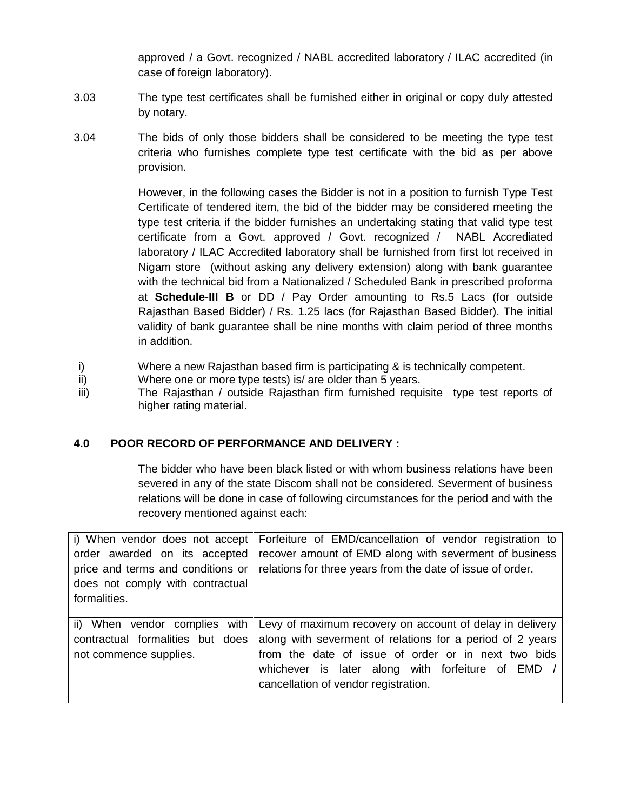approved / a Govt. recognized / NABL accredited laboratory / ILAC accredited (in case of foreign laboratory).

- 3.03 The type test certificates shall be furnished either in original or copy duly attested by notary.
- 3.04 The bids of only those bidders shall be considered to be meeting the type test criteria who furnishes complete type test certificate with the bid as per above provision.

However, in the following cases the Bidder is not in a position to furnish Type Test Certificate of tendered item, the bid of the bidder may be considered meeting the type test criteria if the bidder furnishes an undertaking stating that valid type test certificate from a Govt. approved / Govt. recognized / NABL Accrediated laboratory / ILAC Accredited laboratory shall be furnished from first lot received in Nigam store (without asking any delivery extension) along with bank guarantee with the technical bid from a Nationalized / Scheduled Bank in prescribed proforma at **Schedule-III B** or DD / Pay Order amounting to Rs.5 Lacs (for outside Rajasthan Based Bidder) / Rs. 1.25 lacs (for Rajasthan Based Bidder). The initial validity of bank guarantee shall be nine months with claim period of three months in addition.

- i) Where a new Rajasthan based firm is participating & is technically competent.
- ii) Where one or more type tests) is/ are older than 5 years.
- iii) The Rajasthan / outside Rajasthan firm furnished requisite type test reports of higher rating material.

#### **4.0 POOR RECORD OF PERFORMANCE AND DELIVERY :**

The bidder who have been black listed or with whom business relations have been severed in any of the state Discom shall not be considered. Severment of business relations will be done in case of following circumstances for the period and with the recovery mentioned against each:

| i) When vendor does not accept    | Forfeiture of EMD/cancellation of vendor registration to   |
|-----------------------------------|------------------------------------------------------------|
| order awarded on its accepted     | recover amount of EMD along with severment of business     |
| price and terms and conditions or | relations for three years from the date of issue of order. |
| does not comply with contractual  |                                                            |
| formalities.                      |                                                            |
|                                   |                                                            |
| ii) When vendor complies with     | Levy of maximum recovery on account of delay in delivery   |
| contractual formalities but does  | along with severment of relations for a period of 2 years  |
|                                   |                                                            |
| not commence supplies.            | from the date of issue of order or in next two bids        |
|                                   | whichever is later along with forfeiture of EMD /          |
|                                   | cancellation of vendor registration.                       |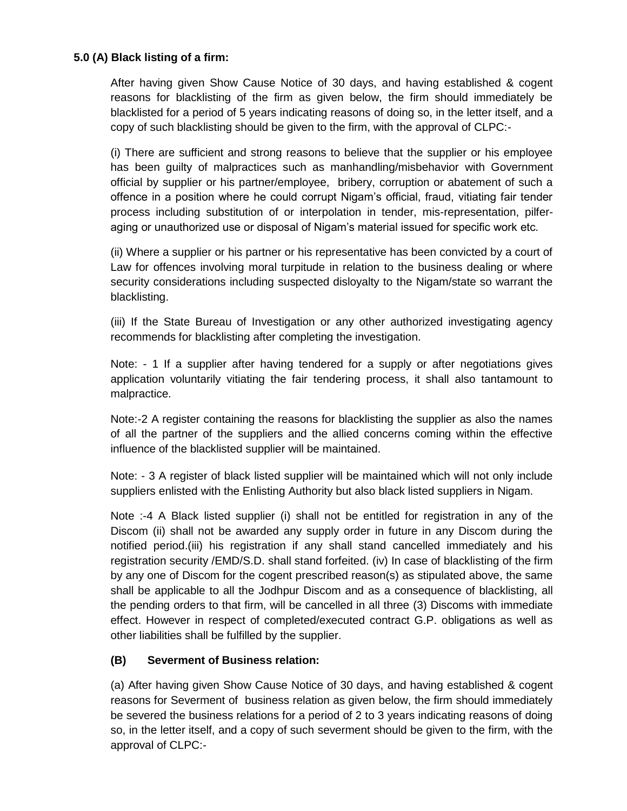#### **5.0 (A) Black listing of a firm:**

After having given Show Cause Notice of 30 days, and having established & cogent reasons for blacklisting of the firm as given below, the firm should immediately be blacklisted for a period of 5 years indicating reasons of doing so, in the letter itself, and a copy of such blacklisting should be given to the firm, with the approval of CLPC:-

(i) There are sufficient and strong reasons to believe that the supplier or his employee has been guilty of malpractices such as manhandling/misbehavior with Government official by supplier or his partner/employee, bribery, corruption or abatement of such a offence in a position where he could corrupt Nigam's official, fraud, vitiating fair tender process including substitution of or interpolation in tender, mis-representation, pilferaging or unauthorized use or disposal of Nigam's material issued for specific work etc.

(ii) Where a supplier or his partner or his representative has been convicted by a court of Law for offences involving moral turpitude in relation to the business dealing or where security considerations including suspected disloyalty to the Nigam/state so warrant the blacklisting.

(iii) If the State Bureau of Investigation or any other authorized investigating agency recommends for blacklisting after completing the investigation.

Note: - 1 If a supplier after having tendered for a supply or after negotiations gives application voluntarily vitiating the fair tendering process, it shall also tantamount to malpractice.

Note:-2 A register containing the reasons for blacklisting the supplier as also the names of all the partner of the suppliers and the allied concerns coming within the effective influence of the blacklisted supplier will be maintained.

Note: - 3 A register of black listed supplier will be maintained which will not only include suppliers enlisted with the Enlisting Authority but also black listed suppliers in Nigam.

Note :-4 A Black listed supplier (i) shall not be entitled for registration in any of the Discom (ii) shall not be awarded any supply order in future in any Discom during the notified period.(iii) his registration if any shall stand cancelled immediately and his registration security /EMD/S.D. shall stand forfeited. (iv) In case of blacklisting of the firm by any one of Discom for the cogent prescribed reason(s) as stipulated above, the same shall be applicable to all the Jodhpur Discom and as a consequence of blacklisting, all the pending orders to that firm, will be cancelled in all three (3) Discoms with immediate effect. However in respect of completed/executed contract G.P. obligations as well as other liabilities shall be fulfilled by the supplier.

#### **(B) Severment of Business relation:**

(a) After having given Show Cause Notice of 30 days, and having established & cogent reasons for Severment of business relation as given below, the firm should immediately be severed the business relations for a period of 2 to 3 years indicating reasons of doing so, in the letter itself, and a copy of such severment should be given to the firm, with the approval of CLPC:-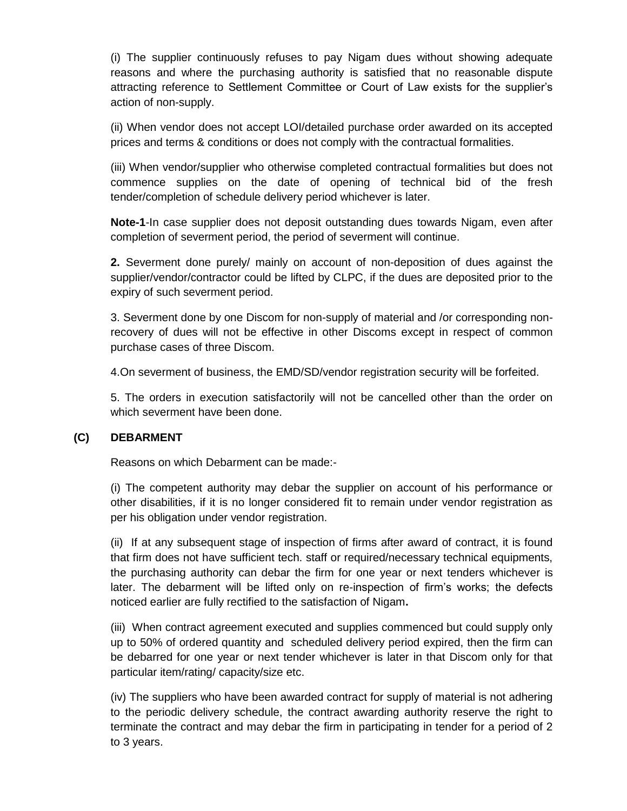(i) The supplier continuously refuses to pay Nigam dues without showing adequate reasons and where the purchasing authority is satisfied that no reasonable dispute attracting reference to Settlement Committee or Court of Law exists for the supplier's action of non-supply.

(ii) When vendor does not accept LOI/detailed purchase order awarded on its accepted prices and terms & conditions or does not comply with the contractual formalities.

(iii) When vendor/supplier who otherwise completed contractual formalities but does not commence supplies on the date of opening of technical bid of the fresh tender/completion of schedule delivery period whichever is later.

**Note-1**-In case supplier does not deposit outstanding dues towards Nigam, even after completion of severment period, the period of severment will continue.

**2.** Severment done purely/ mainly on account of non-deposition of dues against the supplier/vendor/contractor could be lifted by CLPC, if the dues are deposited prior to the expiry of such severment period.

3. Severment done by one Discom for non-supply of material and /or corresponding nonrecovery of dues will not be effective in other Discoms except in respect of common purchase cases of three Discom.

4.On severment of business, the EMD/SD/vendor registration security will be forfeited.

5. The orders in execution satisfactorily will not be cancelled other than the order on which severment have been done.

#### **(C) DEBARMENT**

Reasons on which Debarment can be made:-

(i) The competent authority may debar the supplier on account of his performance or other disabilities, if it is no longer considered fit to remain under vendor registration as per his obligation under vendor registration.

(ii) If at any subsequent stage of inspection of firms after award of contract, it is found that firm does not have sufficient tech. staff or required/necessary technical equipments, the purchasing authority can debar the firm for one year or next tenders whichever is later. The debarment will be lifted only on re-inspection of firm's works; the defects noticed earlier are fully rectified to the satisfaction of Nigam**.** 

(iii) When contract agreement executed and supplies commenced but could supply only up to 50% of ordered quantity and scheduled delivery period expired, then the firm can be debarred for one year or next tender whichever is later in that Discom only for that particular item/rating/ capacity/size etc.

(iv) The suppliers who have been awarded contract for supply of material is not adhering to the periodic delivery schedule, the contract awarding authority reserve the right to terminate the contract and may debar the firm in participating in tender for a period of 2 to 3 years.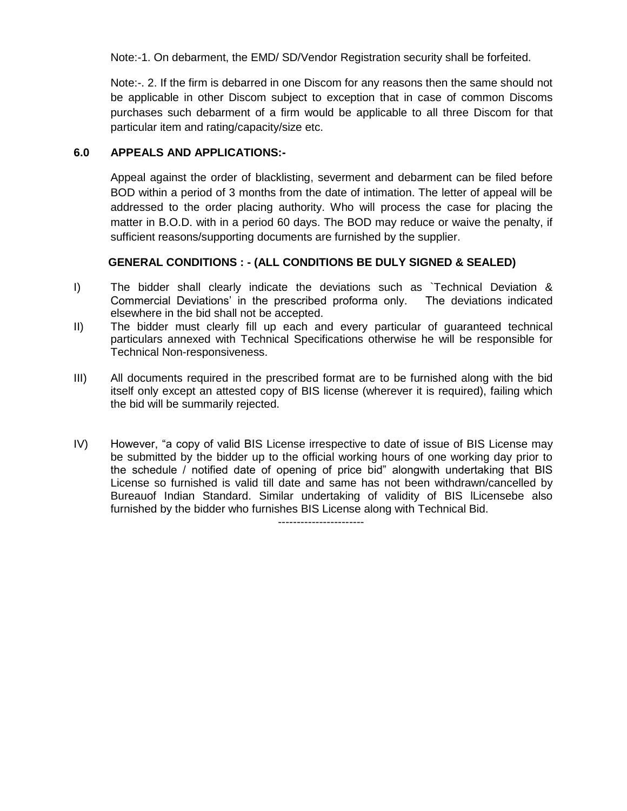Note:-1. On debarment, the EMD/ SD/Vendor Registration security shall be forfeited.

Note:-. 2. If the firm is debarred in one Discom for any reasons then the same should not be applicable in other Discom subject to exception that in case of common Discoms purchases such debarment of a firm would be applicable to all three Discom for that particular item and rating/capacity/size etc.

#### **6.0 APPEALS AND APPLICATIONS:-**

Appeal against the order of blacklisting, severment and debarment can be filed before BOD within a period of 3 months from the date of intimation. The letter of appeal will be addressed to the order placing authority. Who will process the case for placing the matter in B.O.D. with in a period 60 days. The BOD may reduce or waive the penalty, if sufficient reasons/supporting documents are furnished by the supplier.

#### **GENERAL CONDITIONS : - (ALL CONDITIONS BE DULY SIGNED & SEALED)**

- I) The bidder shall clearly indicate the deviations such as `Technical Deviation & Commercial Deviations' in the prescribed proforma only. The deviations indicated elsewhere in the bid shall not be accepted.
- II) The bidder must clearly fill up each and every particular of guaranteed technical particulars annexed with Technical Specifications otherwise he will be responsible for Technical Non-responsiveness.
- III) All documents required in the prescribed format are to be furnished along with the bid itself only except an attested copy of BIS license (wherever it is required), failing which the bid will be summarily rejected.
- IV) However, "a copy of valid BIS License irrespective to date of issue of BIS License may be submitted by the bidder up to the official working hours of one working day prior to the schedule / notified date of opening of price bid" alongwith undertaking that BIS License so furnished is valid till date and same has not been withdrawn/cancelled by Bureauof Indian Standard. Similar undertaking of validity of BIS lLicensebe also furnished by the bidder who furnishes BIS License along with Technical Bid. -----------------------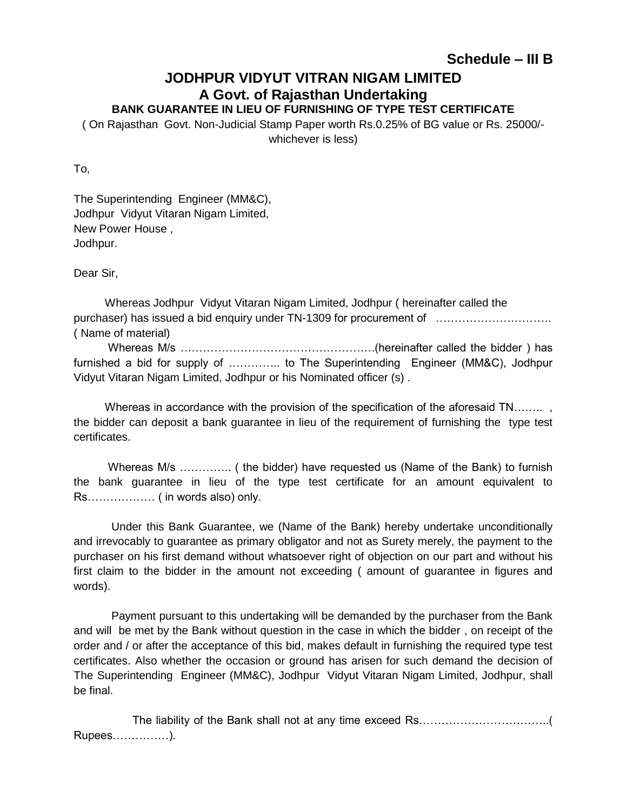## **JODHPUR VIDYUT VITRAN NIGAM LIMITED A Govt. of Rajasthan Undertaking BANK GUARANTEE IN LIEU OF FURNISHING OF TYPE TEST CERTIFICATE**

( On Rajasthan Govt. Non-Judicial Stamp Paper worth Rs.0.25% of BG value or Rs. 25000/ whichever is less)

To,

The Superintending Engineer (MM&C), Jodhpur Vidyut Vitaran Nigam Limited, New Power House , Jodhpur.

Dear Sir,

 Whereas Jodhpur Vidyut Vitaran Nigam Limited, Jodhpur ( hereinafter called the purchaser) has issued a bid enquiry under TN-1309 for procurement of …………………………. ( Name of material)

 Whereas M/s …………………………………………….(hereinafter called the bidder ) has furnished a bid for supply of .............. to The Superintending Engineer (MM&C), Jodhpur Vidyut Vitaran Nigam Limited, Jodhpur or his Nominated officer (s) .

Whereas in accordance with the provision of the specification of the aforesaid TN......... the bidder can deposit a bank guarantee in lieu of the requirement of furnishing the type test certificates.

 Whereas M/s ………….. ( the bidder) have requested us (Name of the Bank) to furnish the bank guarantee in lieu of the type test certificate for an amount equivalent to Rs……………… ( in words also) only.

 Under this Bank Guarantee, we (Name of the Bank) hereby undertake unconditionally and irrevocably to guarantee as primary obligator and not as Surety merely, the payment to the purchaser on his first demand without whatsoever right of objection on our part and without his first claim to the bidder in the amount not exceeding ( amount of guarantee in figures and words).

 Payment pursuant to this undertaking will be demanded by the purchaser from the Bank and will be met by the Bank without question in the case in which the bidder , on receipt of the order and / or after the acceptance of this bid, makes default in furnishing the required type test certificates. Also whether the occasion or ground has arisen for such demand the decision of The Superintending Engineer (MM&C), Jodhpur Vidyut Vitaran Nigam Limited, Jodhpur, shall be final.

The liability of the Bank shall not at any time exceed Rs……………………………………………………………… Rupees……………).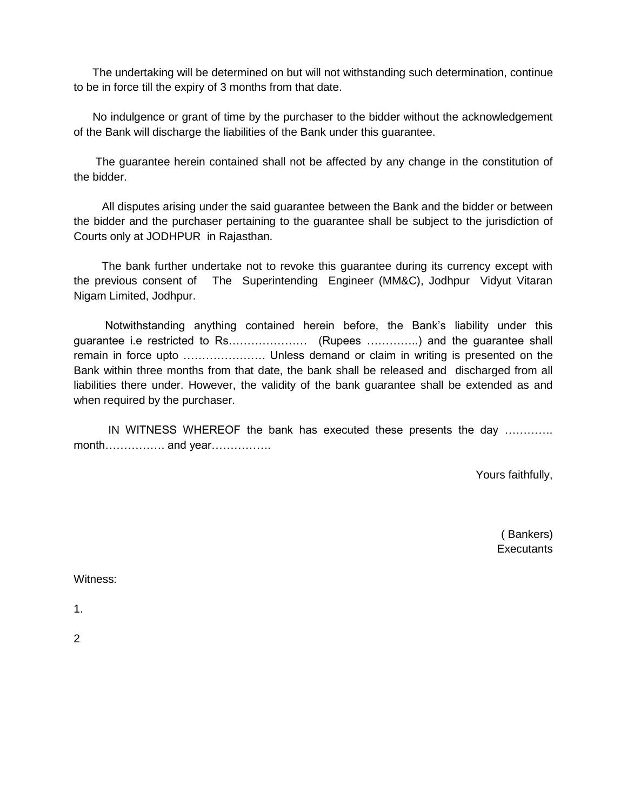The undertaking will be determined on but will not withstanding such determination, continue to be in force till the expiry of 3 months from that date.

 No indulgence or grant of time by the purchaser to the bidder without the acknowledgement of the Bank will discharge the liabilities of the Bank under this guarantee.

 The guarantee herein contained shall not be affected by any change in the constitution of the bidder.

 All disputes arising under the said guarantee between the Bank and the bidder or between the bidder and the purchaser pertaining to the guarantee shall be subject to the jurisdiction of Courts only at JODHPUR in Rajasthan.

 The bank further undertake not to revoke this guarantee during its currency except with the previous consent of The Superintending Engineer (MM&C), Jodhpur Vidyut Vitaran Nigam Limited, Jodhpur.

 Notwithstanding anything contained herein before, the Bank's liability under this guarantee i.e restricted to Rs………………… (Rupees …………..) and the guarantee shall remain in force upto …………………. Unless demand or claim in writing is presented on the Bank within three months from that date, the bank shall be released and discharged from all liabilities there under. However, the validity of the bank guarantee shall be extended as and when required by the purchaser.

 IN WITNESS WHEREOF the bank has executed these presents the day …………. month……………. and year…………….

Yours faithfully,

 ( Bankers) **Executants** 

Witness:

1.

2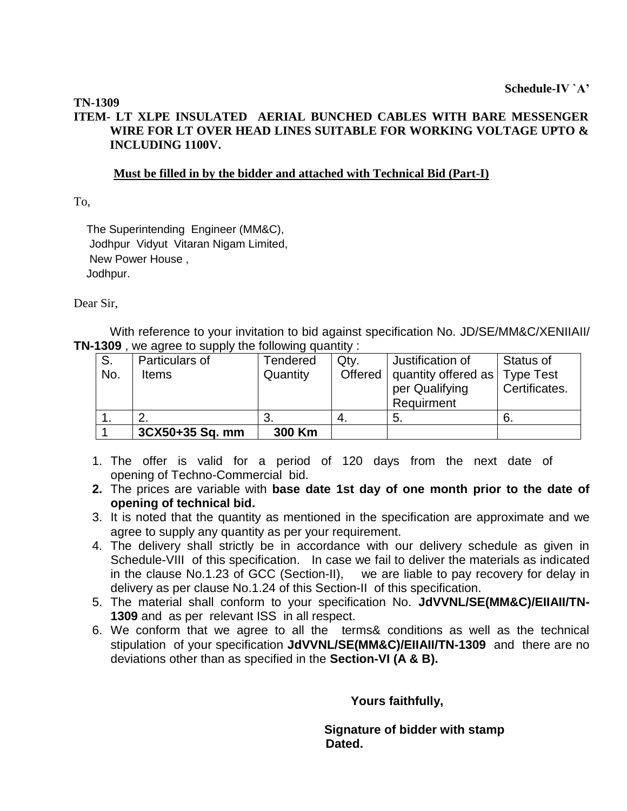#### **TN-1309**

#### **ITEM- LT XLPE INSULATED AERIAL BUNCHED CABLES WITH BARE MESSENGER WIRE FOR LT OVER HEAD LINES SUITABLE FOR WORKING VOLTAGE UPTO & INCLUDING 1100V.**

#### **Must be filled in by the bidder and attached with Technical Bid (Part-I)**

To,

 The Superintending Engineer (MM&C), Jodhpur Vidyut Vitaran Nigam Limited, New Power House , Jodhpur.

Dear Sir,

With reference to your invitation to bid against specification No. JD/SE/MM&C/XENIIAII/ **TN-1309** , we agree to supply the following quantity :

| S.  | Particulars of  | Tendered | Qty. | Justification of              | Status of        |
|-----|-----------------|----------|------|-------------------------------|------------------|
| No. | <b>Items</b>    | Quantity |      | Offered   quantity offered as | <b>Type Test</b> |
|     |                 |          |      | per Qualifying                | Certificates.    |
|     |                 |          |      | Requirment                    |                  |
|     |                 | -3.      | 4.   | -5.                           | -6.              |
|     | 3CX50+35 Sq. mm | 300 Km   |      |                               |                  |

- 1. The offer is valid for a period of 120 days from the next date of opening of Techno-Commercial bid.
- **2.** The prices are variable with **base date 1st day of one month prior to the date of opening of technical bid.**
- 3. It is noted that the quantity as mentioned in the specification are approximate and we agree to supply any quantity as per your requirement.
- 4. The delivery shall strictly be in accordance with our delivery schedule as given in Schedule-VIII of this specification. In case we fail to deliver the materials as indicated in the clause No.1.23 of GCC (Section-II), we are liable to pay recovery for delay in delivery as per clause No.1.24 of this Section-II of this specification.
- 5. The material shall conform to your specification No. **JdVVNL/SE(MM&C)/EIIAII/TN-1309** and as per relevant ISS in all respect.
- 6. We conform that we agree to all the terms& conditions as well as the technical stipulation of your specification **JdVVNL/SE(MM&C)/EIIAII/TN-1309** and there are no deviations other than as specified in the **Section-VI (A & B).**

 **Yours faithfully,** 

 **Signature of bidder with stamp Dated.**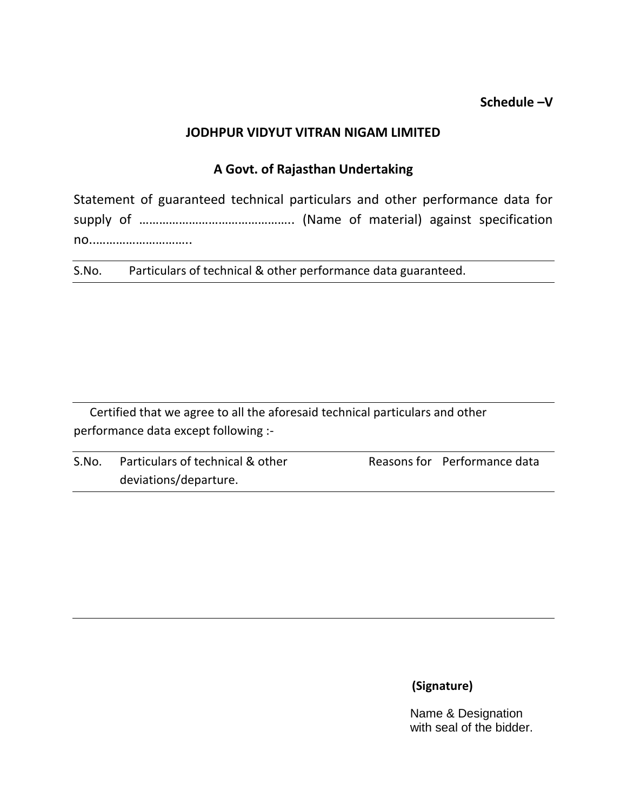## **Schedule –V**

## **JODHPUR VIDYUT VITRAN NIGAM LIMITED**

## **A Govt. of Rajasthan Undertaking**

Statement of guaranteed technical particulars and other performance data for supply of ……………………………………….. (Name of material) against specification no..………………………..

S.No. Particulars of technical & other performance data guaranteed.

Certified that we agree to all the aforesaid technical particulars and other performance data except following :-

| S.No. | Particulars of technical & other | Reasons for Performance data |
|-------|----------------------------------|------------------------------|
|       | deviations/departure.            |                              |

# **(Signature)**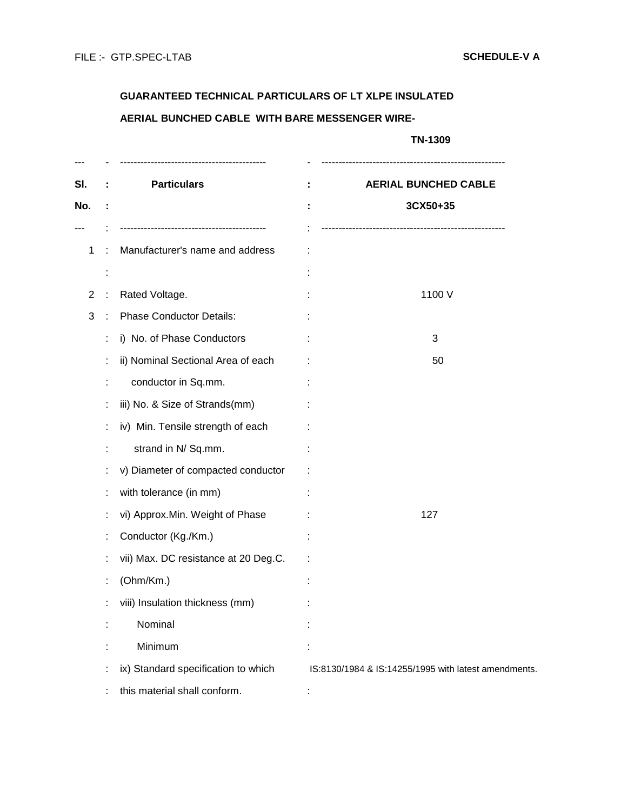# **GUARANTEED TECHNICAL PARTICULARS OF LT XLPE INSULATED AERIAL BUNCHED CABLE WITH BARE MESSENGER WIRE-**

|   |                                      | TN-1309                                              |
|---|--------------------------------------|------------------------------------------------------|
|   | <b>Particulars</b>                   | <b>AERIAL BUNCHED CABLE</b>                          |
|   |                                      | 3CX50+35                                             |
|   |                                      |                                                      |
| ÷ | Manufacturer's name and address      |                                                      |
|   |                                      |                                                      |
|   | Rated Voltage.                       | 1100 V                                               |
|   | <b>Phase Conductor Details:</b>      |                                                      |
|   | i) No. of Phase Conductors           | 3                                                    |
|   | ii) Nominal Sectional Area of each   | 50                                                   |
|   | conductor in Sq.mm.                  |                                                      |
|   | iii) No. & Size of Strands(mm)       |                                                      |
|   | iv) Min. Tensile strength of each    |                                                      |
|   | strand in N/ Sq.mm.                  |                                                      |
|   | v) Diameter of compacted conductor   |                                                      |
|   | with tolerance (in mm)               |                                                      |
|   | vi) Approx.Min. Weight of Phase      | 127                                                  |
|   | Conductor (Kg./Km.)                  |                                                      |
|   | vii) Max. DC resistance at 20 Deg.C. |                                                      |
|   | (Ohm/Km.)                            |                                                      |
|   | viii) Insulation thickness (mm)      |                                                      |
|   | Nominal                              |                                                      |
|   | Minimum                              |                                                      |
|   | ix) Standard specification to which  | IS:8130/1984 & IS:14255/1995 with latest amendments. |
|   | this material shall conform.         |                                                      |
|   |                                      |                                                      |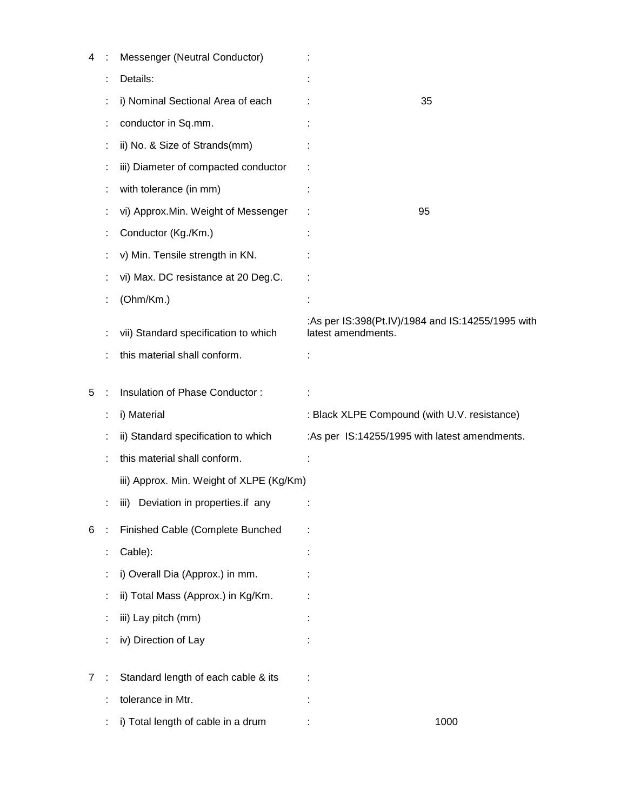| 4              | Messenger (Neutral Conductor)            |                                                                         |
|----------------|------------------------------------------|-------------------------------------------------------------------------|
|                | Details:                                 |                                                                         |
|                | i) Nominal Sectional Area of each        | 35                                                                      |
|                | conductor in Sq.mm.                      |                                                                         |
|                | ii) No. & Size of Strands(mm)            |                                                                         |
|                | iii) Diameter of compacted conductor     |                                                                         |
|                | with tolerance (in mm)                   |                                                                         |
|                | vi) Approx.Min. Weight of Messenger      | 95                                                                      |
|                | Conductor (Kg./Km.)                      |                                                                         |
|                | v) Min. Tensile strength in KN.          |                                                                         |
|                | vi) Max. DC resistance at 20 Deg.C.      |                                                                         |
|                | (Ohm/Km.)                                |                                                                         |
|                | vii) Standard specification to which     | :As per IS:398(Pt.IV)/1984 and IS:14255/1995 with<br>latest amendments. |
|                | this material shall conform.             |                                                                         |
|                |                                          |                                                                         |
| 5              | Insulation of Phase Conductor:           |                                                                         |
|                | i) Material                              | : Black XLPE Compound (with U.V. resistance)                            |
|                | ii) Standard specification to which      | :As per IS:14255/1995 with latest amendments.                           |
|                | this material shall conform.             |                                                                         |
|                | iii) Approx. Min. Weight of XLPE (Kg/Km) |                                                                         |
|                | iii) Deviation in properties.if any      |                                                                         |
| 6              | Finished Cable (Complete Bunched         |                                                                         |
|                | Cable):                                  |                                                                         |
|                | i) Overall Dia (Approx.) in mm.          |                                                                         |
|                | ii) Total Mass (Approx.) in Kg/Km.       |                                                                         |
|                | iii) Lay pitch (mm)                      |                                                                         |
|                | iv) Direction of Lay                     |                                                                         |
| $\overline{7}$ | Standard length of each cable & its      |                                                                         |
|                | tolerance in Mtr.                        |                                                                         |
|                | i) Total length of cable in a drum       | 1000                                                                    |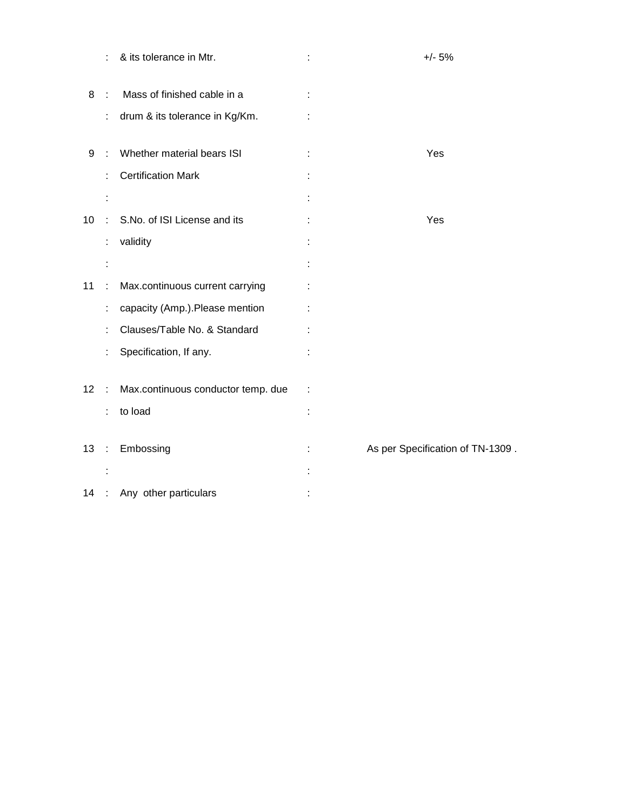|                 | t              | & its tolerance in Mtr.            | $+/- 5%$                         |
|-----------------|----------------|------------------------------------|----------------------------------|
| 8               |                | Mass of finished cable in a        |                                  |
|                 | t              | drum & its tolerance in Kg/Km.     |                                  |
| 9               |                | Whether material bears ISI         | Yes                              |
|                 |                | <b>Certification Mark</b>          |                                  |
|                 |                |                                    |                                  |
| 10 <sup>°</sup> |                | S.No. of ISI License and its       | Yes                              |
|                 | t              | validity                           |                                  |
|                 |                |                                    |                                  |
| 11              | ÷              | Max.continuous current carrying    |                                  |
|                 | t              | capacity (Amp.). Please mention    |                                  |
|                 |                | Clauses/Table No. & Standard       |                                  |
|                 |                | Specification, If any.             |                                  |
| 12 <sup>°</sup> | ÷              | Max.continuous conductor temp. due |                                  |
|                 |                | to load                            |                                  |
| 13              | $\ddot{\cdot}$ | Embossing                          | As per Specification of TN-1309. |
|                 |                |                                    |                                  |
|                 |                |                                    |                                  |
| 14              |                | Any other particulars              |                                  |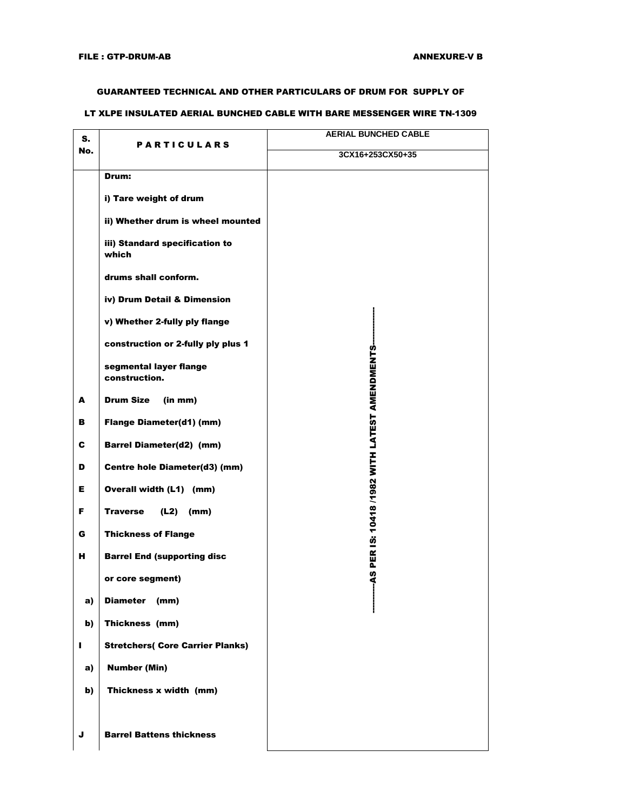#### GUARANTEED TECHNICAL AND OTHER PARTICULARS OF DRUM FOR SUPPLY OF

#### LT XLPE INSULATED AERIAL BUNCHED CABLE WITH BARE MESSENGER WIRE TN-1309

| S.  |                                         | <b>AERIAL BUNCHED CABLE</b>                    |
|-----|-----------------------------------------|------------------------------------------------|
| No. | <b>PARTICULARS</b>                      | 3CX16+253CX50+35                               |
|     | Drum:                                   |                                                |
|     | i) Tare weight of drum                  |                                                |
|     | ii) Whether drum is wheel mounted       |                                                |
|     | iii) Standard specification to<br>which |                                                |
|     | drums shall conform.                    |                                                |
|     | iv) Drum Detail & Dimension             |                                                |
|     | v) Whether 2-fully ply flange           |                                                |
|     | construction or 2-fully ply plus 1      |                                                |
|     | segmental layer flange                  |                                                |
|     | construction.                           |                                                |
| A   | <b>Drum Size</b><br>(in mm)             | -AS PER IS: 10418 /1982 WITH LATEST AMENDMENTS |
| в   | <b>Flange Diameter(d1) (mm)</b>         |                                                |
| C   | <b>Barrel Diameter(d2) (mm)</b>         |                                                |
| D   | Centre hole Diameter(d3) (mm)           |                                                |
| Е.  | Overall width (L1) (mm)                 |                                                |
| F.  | <b>Traverse</b><br>(L2)<br>(mm)         |                                                |
| G   | <b>Thickness of Flange</b>              |                                                |
| н   | <b>Barrel End (supporting disc</b>      |                                                |
|     | or core segment)                        |                                                |
| a)  | Diameter (mm)                           |                                                |
| b)  | Thickness (mm)                          |                                                |
| п   | <b>Stretchers( Core Carrier Planks)</b> |                                                |
| a)  | <b>Number (Min)</b>                     |                                                |
| b)  | Thickness x width (mm)                  |                                                |
|     |                                         |                                                |
| J   | <b>Barrel Battens thickness</b>         |                                                |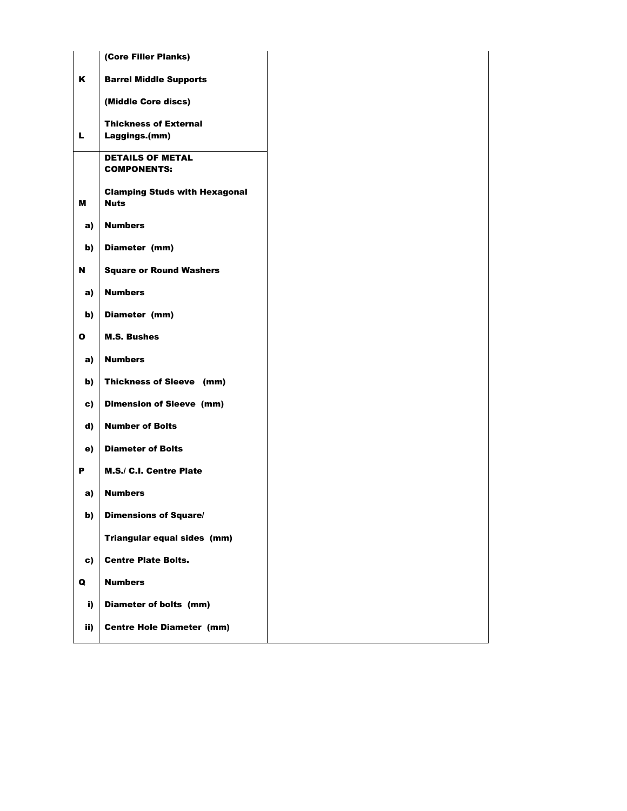|              | (Core Filler Planks)                                |  |
|--------------|-----------------------------------------------------|--|
| K            | <b>Barrel Middle Supports</b>                       |  |
|              | (Middle Core discs)                                 |  |
| L.           | <b>Thickness of External</b>                        |  |
|              | Laggings.(mm)                                       |  |
|              | <b>DETAILS OF METAL</b><br><b>COMPONENTS:</b>       |  |
| м            | <b>Clamping Studs with Hexagonal</b><br><b>Nuts</b> |  |
| a)           | <b>Numbers</b>                                      |  |
| b)           | Diameter (mm)                                       |  |
| N            | <b>Square or Round Washers</b>                      |  |
| a)           | <b>Numbers</b>                                      |  |
| b)           | Diameter (mm)                                       |  |
| $\mathbf{o}$ | <b>M.S. Bushes</b>                                  |  |
| a)           | <b>Numbers</b>                                      |  |
| b)           | Thickness of Sleeve (mm)                            |  |
| c)           | <b>Dimension of Sleeve (mm)</b>                     |  |
| d)           | <b>Number of Bolts</b>                              |  |
| e)           | <b>Diameter of Bolts</b>                            |  |
| P            | M.S./ C.I. Centre Plate                             |  |
| a)           | <b>Numbers</b>                                      |  |
| b)           | <b>Dimensions of Square/</b>                        |  |
|              | Triangular equal sides (mm)                         |  |
| c)           | <b>Centre Plate Bolts.</b>                          |  |
| Q            | <b>Numbers</b>                                      |  |
| i)           | Diameter of bolts (mm)                              |  |
| ii)          | <b>Centre Hole Diameter (mm)</b>                    |  |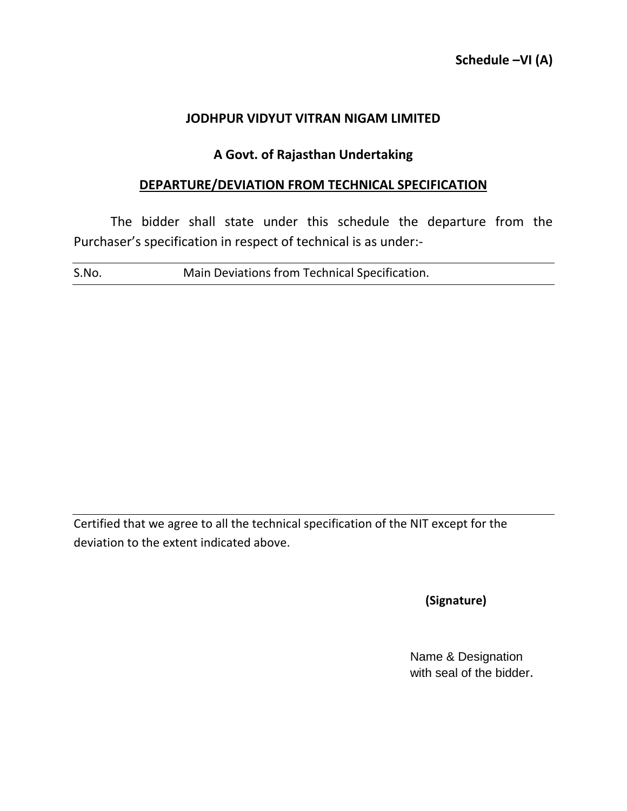## **A Govt. of Rajasthan Undertaking**

## **DEPARTURE/DEVIATION FROM TECHNICAL SPECIFICATION**

The bidder shall state under this schedule the departure from the Purchaser's specification in respect of technical is as under:-

S.No. Main Deviations from Technical Specification.

Certified that we agree to all the technical specification of the NIT except for the deviation to the extent indicated above.

 **(Signature)**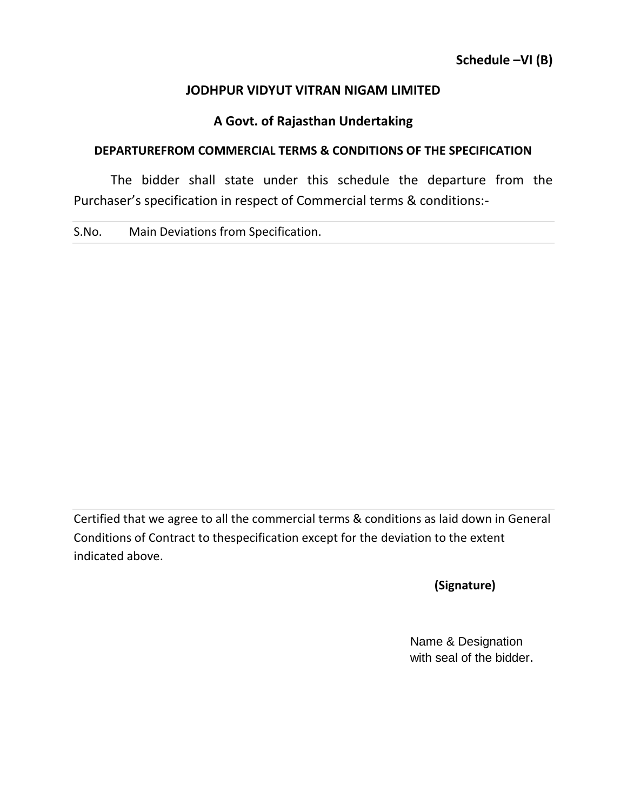# **A Govt. of Rajasthan Undertaking**

## **DEPARTUREFROM COMMERCIAL TERMS & CONDITIONS OF THE SPECIFICATION**

The bidder shall state under this schedule the departure from the Purchaser's specification in respect of Commercial terms & conditions:-

S.No. Main Deviations from Specification.

Certified that we agree to all the commercial terms & conditions as laid down in General Conditions of Contract to thespecification except for the deviation to the extent indicated above.

 **(Signature)**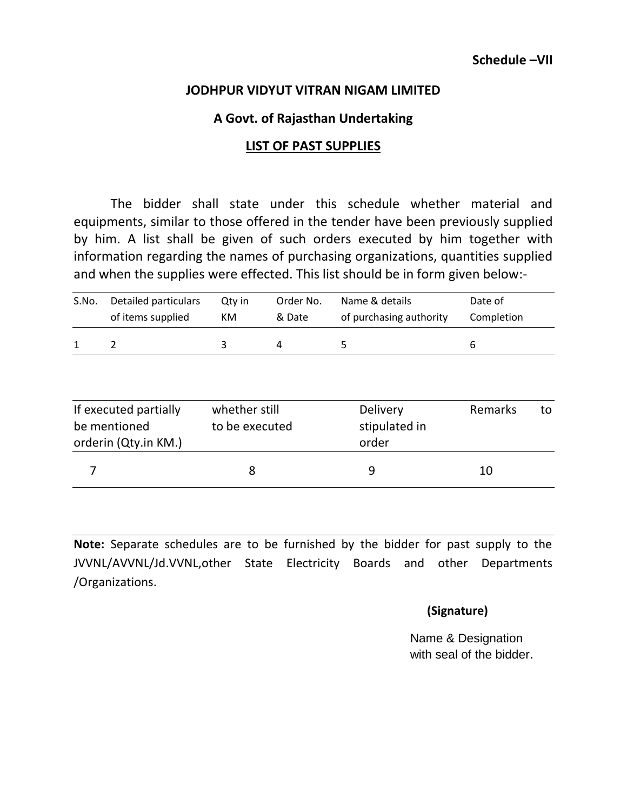## **A Govt. of Rajasthan Undertaking**

#### **LIST OF PAST SUPPLIES**

The bidder shall state under this schedule whether material and equipments, similar to those offered in the tender have been previously supplied by him. A list shall be given of such orders executed by him together with information regarding the names of purchasing organizations, quantities supplied and when the supplies were effected. This list should be in form given below:-

| S.No. | Detailed particulars | Qtv in | Order No. | Name & details          | Date of    |
|-------|----------------------|--------|-----------|-------------------------|------------|
|       | of items supplied    | КM     | & Date    | of purchasing authority | Completion |
|       |                      |        |           |                         | b          |

| If executed partially<br>be mentioned<br>orderin (Qty.in KM.) | whether still<br>to be executed | Delivery<br>stipulated in<br>order | Remarks | to |
|---------------------------------------------------------------|---------------------------------|------------------------------------|---------|----|
|                                                               |                                 | q                                  | 10      |    |

**Note:** Separate schedules are to be furnished by the bidder for past supply to the JVVNL/AVVNL/Jd.VVNL,other State Electricity Boards and other Departments /Organizations.

#### **(Signature)**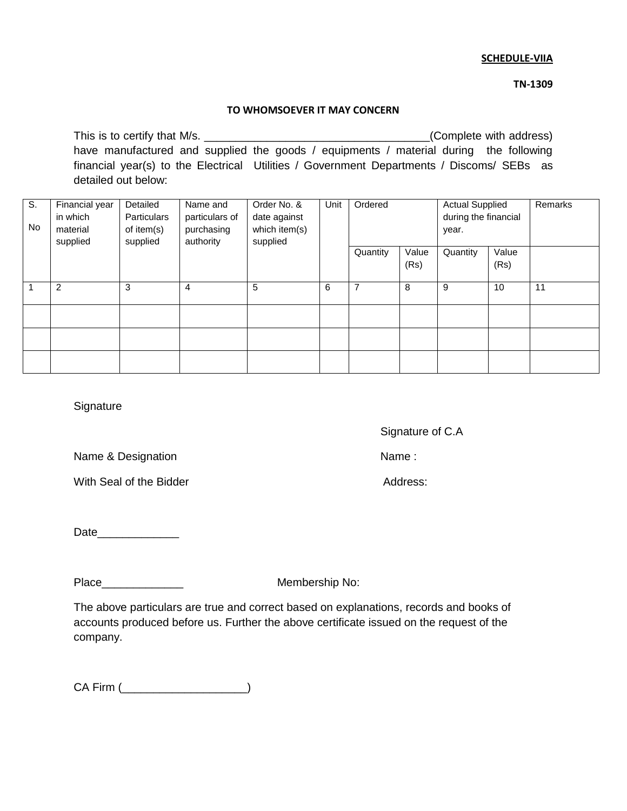#### **SCHEDULE-VIIA**

 **TN-1309**

#### **TO WHOMSOEVER IT MAY CONCERN**

This is to certify that M/s. This is to certify that M/s. have manufactured and supplied the goods / equipments / material during the following financial year(s) to the Electrical Utilities / Government Departments / Discoms/ SEBs as detailed out below:

| S.<br>No | Financial year<br>in which<br>material<br>supplied | Detailed<br>Particulars<br>of item(s)<br>supplied | Name and<br>particulars of<br>purchasing<br>authority | Order No. &<br>date against<br>which item(s)<br>supplied | Unit | Ordered  |               | <b>Actual Supplied</b><br>during the financial<br>year. |               | Remarks |
|----------|----------------------------------------------------|---------------------------------------------------|-------------------------------------------------------|----------------------------------------------------------|------|----------|---------------|---------------------------------------------------------|---------------|---------|
|          |                                                    |                                                   |                                                       |                                                          |      | Quantity | Value<br>(Rs) | Quantity                                                | Value<br>(Rs) |         |
|          | 2                                                  | 3                                                 | 4                                                     | 5                                                        | 6    | 7        | 8             | 9                                                       | 10            | 11      |
|          |                                                    |                                                   |                                                       |                                                          |      |          |               |                                                         |               |         |
|          |                                                    |                                                   |                                                       |                                                          |      |          |               |                                                         |               |         |
|          |                                                    |                                                   |                                                       |                                                          |      |          |               |                                                         |               |         |

**Signature** 

Signature of C.A

Name & Designation Name :

With Seal of the Bidder Address:

Date\_\_\_\_\_\_\_\_\_\_\_\_\_

Place\_\_\_\_\_\_\_\_\_\_\_\_\_ Membership No:

The above particulars are true and correct based on explanations, records and books of accounts produced before us. Further the above certificate issued on the request of the company.

CA Firm (\_\_\_\_\_\_\_\_\_\_\_\_\_\_\_\_\_\_\_\_)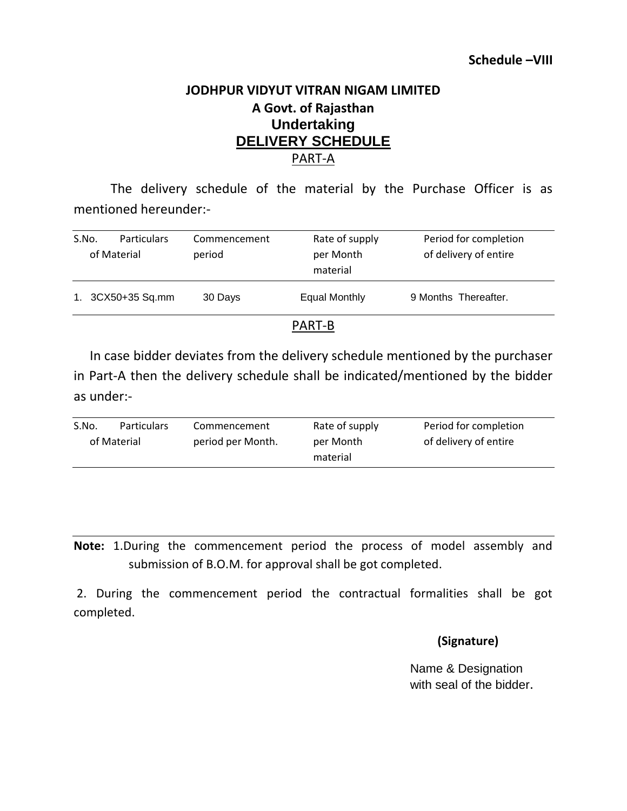# **JODHPUR VIDYUT VITRAN NIGAM LIMITED A Govt. of Rajasthan Undertaking DELIVERY SCHEDULE** PART-A

The delivery schedule of the material by the Purchase Officer is as mentioned hereunder:-

| S.No. | <b>Particulars</b><br>of Material | Commencement<br>period | Rate of supply<br>per Month<br>material | Period for completion<br>of delivery of entire |  |
|-------|-----------------------------------|------------------------|-----------------------------------------|------------------------------------------------|--|
|       | 1. 3CX50+35 Sq.mm                 | 30 Days                | Equal Monthly                           | 9 Months Thereafter.                           |  |
|       |                                   |                        | . <del>.</del> .                        |                                                |  |

## PART-B

In case bidder deviates from the delivery schedule mentioned by the purchaser in Part-A then the delivery schedule shall be indicated/mentioned by the bidder as under:-

| S.No. | <b>Particulars</b> | Commencement      | Rate of supply | Period for completion |
|-------|--------------------|-------------------|----------------|-----------------------|
|       | of Material        | period per Month. | per Month      | of delivery of entire |
|       |                    |                   | material       |                       |
|       |                    |                   |                |                       |

**Note:** 1.During the commencement period the process of model assembly and submission of B.O.M. for approval shall be got completed.

2. During the commencement period the contractual formalities shall be got completed.

#### **(Signature)**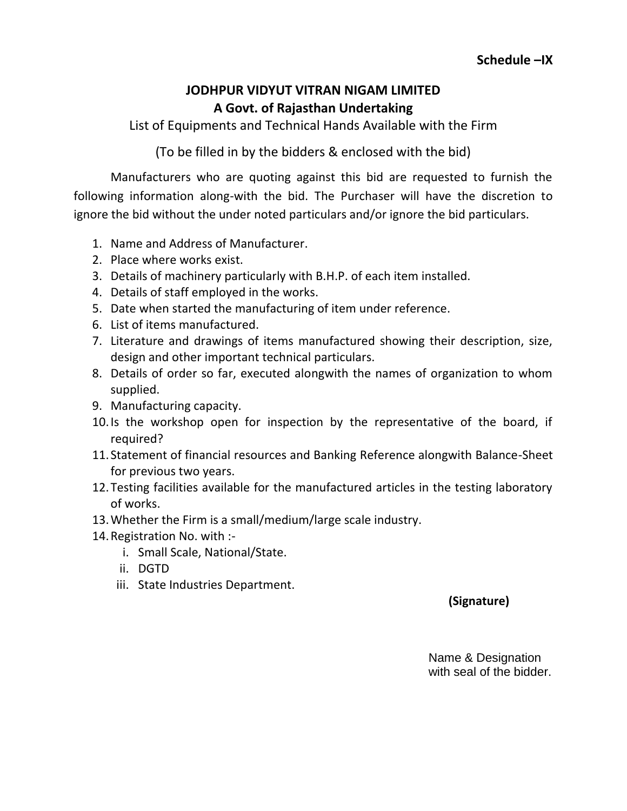# **JODHPUR VIDYUT VITRAN NIGAM LIMITED A Govt. of Rajasthan Undertaking**

List of Equipments and Technical Hands Available with the Firm

(To be filled in by the bidders & enclosed with the bid)

Manufacturers who are quoting against this bid are requested to furnish the following information along-with the bid. The Purchaser will have the discretion to ignore the bid without the under noted particulars and/or ignore the bid particulars.

- 1. Name and Address of Manufacturer.
- 2. Place where works exist.
- 3. Details of machinery particularly with B.H.P. of each item installed.
- 4. Details of staff employed in the works.
- 5. Date when started the manufacturing of item under reference.
- 6. List of items manufactured.
- 7. Literature and drawings of items manufactured showing their description, size, design and other important technical particulars.
- 8. Details of order so far, executed alongwith the names of organization to whom supplied.
- 9. Manufacturing capacity.
- 10.Is the workshop open for inspection by the representative of the board, if required?
- 11. Statement of financial resources and Banking Reference alongwith Balance-Sheet for previous two years.
- 12.Testing facilities available for the manufactured articles in the testing laboratory of works.
- 13.Whether the Firm is a small/medium/large scale industry.
- 14.Registration No. with :
	- i. Small Scale, National/State.
	- ii. DGTD
	- iii. State Industries Department.

## **(Signature)**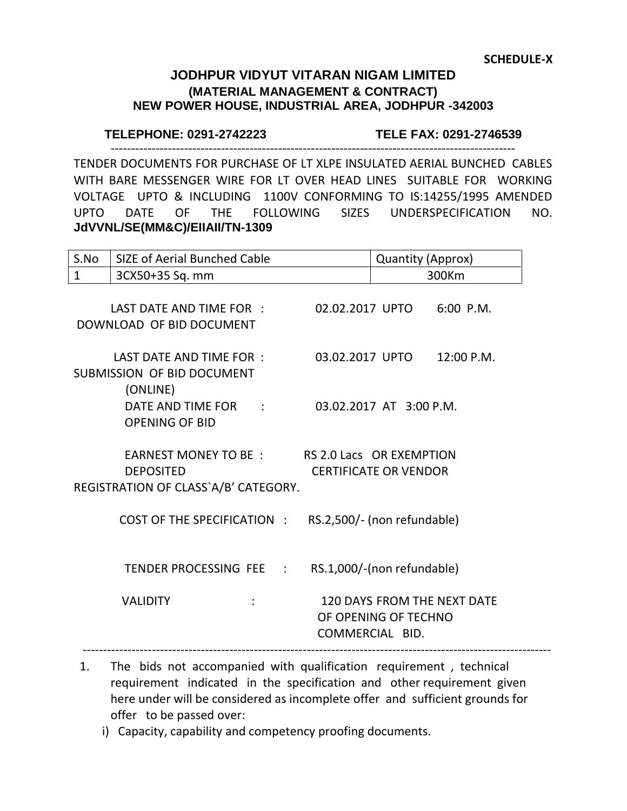## **JODHPUR VIDYUT VITARAN NIGAM LIMITED (MATERIAL MANAGEMENT & CONTRACT) NEW POWER HOUSE, INDUSTRIAL AREA, JODHPUR -342003**

#### **TELEPHONE: 0291-2742223 TELE FAX: 0291-2746539**

TENDER DOCUMENTS FOR PURCHASE OF LT XLPE INSULATED AERIAL BUNCHED CABLES WITH BARE MESSENGER WIRE FOR LT OVER HEAD LINES SUITABLE FOR WORKING VOLTAGE UPTO & INCLUDING 1100V CONFORMING TO IS:14255/1995 AMENDED UPTO DATE OF THE FOLLOWING SIZES UNDERSPECIFICATION NO. **JdVVNL/SE(MM&C)/EIIAII/TN-1309**

---------------------------------------------------------------------------------------------------

| S.No         | SIZE of Aerial Bunched Cable                                                                               | Quantity (Approx) |                                         |                                    |
|--------------|------------------------------------------------------------------------------------------------------------|-------------------|-----------------------------------------|------------------------------------|
| $\mathbf{1}$ | 3CX50+35 Sq. mm                                                                                            |                   |                                         | 300Km                              |
|              | LAST DATE AND TIME FOR : 02.02.2017 UPTO 6:00 P.M.<br>DOWNLOAD OF BID DOCUMENT                             |                   |                                         |                                    |
|              | LAST DATE AND TIME FOR :<br><b>SUBMISSION OF BID DOCUMENT</b><br>(ONLINE)                                  |                   |                                         | 03.02.2017 UPTO 12:00 P.M.         |
|              | DATE AND TIME FOR : 03.02.2017 AT 3:00 P.M.<br><b>OPENING OF BID</b>                                       |                   |                                         |                                    |
|              | EARNEST MONEY TO BE : RS 2.0 Lacs OR EXEMPTION<br><b>DEPOSITED</b><br>REGISTRATION OF CLASS`A/B' CATEGORY. |                   | <b>CERTIFICATE OR VENDOR</b>            |                                    |
|              | COST OF THE SPECIFICATION : RS.2,500/- (non refundable)                                                    |                   |                                         |                                    |
|              | TENDER PROCESSING FEE : RS.1,000/-(non refundable)                                                         |                   |                                         |                                    |
|              | <b>VALIDITY</b>                                                                                            |                   | OF OPENING OF TECHNO<br>COMMERCIAL BID. | <b>120 DAYS FROM THE NEXT DATE</b> |

- 1. The bids not accompanied with qualification requirement , technical requirement indicated in the specification and other requirement given here under will be considered as incomplete offer and sufficient grounds for offer to be passed over:
	- i) Capacity, capability and competency proofing documents.